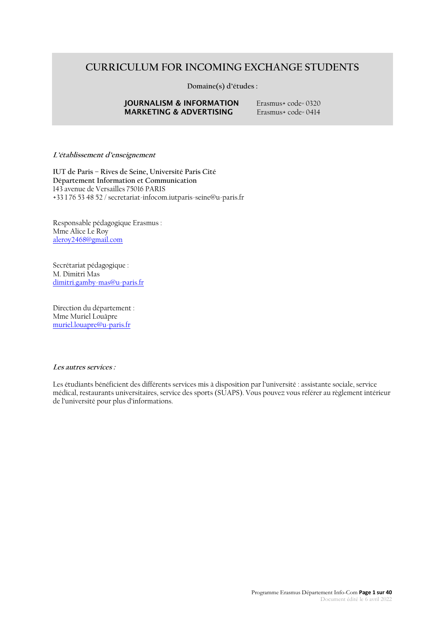# **CURRICULUM FOR INCOMING EXCHANGE STUDENTS**

**Domaine(s) d'études :**

### **JOURNALISM & INFORMATION** Erasmus+ code= 0320<br>**MARKETING & ADVERTISING** Erasmus+ code= 0414 **MARKETING & ADVERTISING**

### **L'établissement d'enseignement**

**IUT de Paris – Rives de Seine, Université Paris Cité Département Information et Communication** 143 avenue de Versailles 75016 PARIS +33 1 76 53 48 52 / secretariat-infocom.iutparis-seine@u-paris.fr

Responsable pédagogique Erasmus : Mme Alice Le Roy [aleroy2468@gmail.com](mailto:aleroy2468@gmail.com)

Secrétariat pédagogique : M. Dimitri Mas [dimitri.gamby-mas@u-paris.fr](mailto:dimitri.gamby-mas@u-paris.fr)

Direction du département : Mme Muriel Louâpre [muriel.louapre@u-paris.fr](mailto:muriel.louapre@u-paris.fr)

#### **Les autres services :**

Les étudiants bénéficient des différents services mis à disposition par l'université : assistante sociale, service médical, restaurants universitaires, service des sports (SUAPS). Vous pouvez vous référer au règlement intérieur de l'université pour plus d'informations.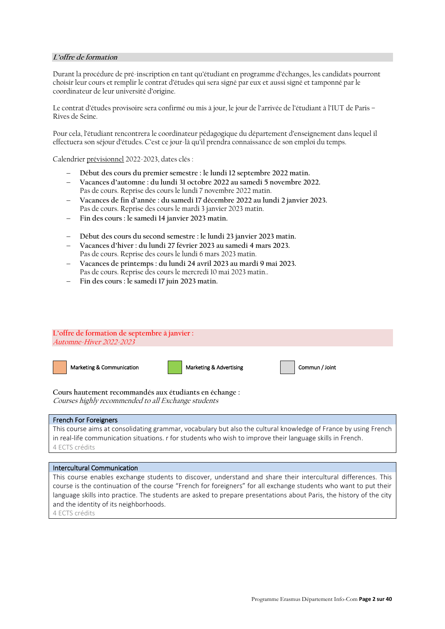### **L'offre de formation**

Durant la procédure de pré-inscription en tant qu'étudiant en programme d'échanges, les candidats pourront choisir leur cours et remplir le contrat d'études qui sera signé par eux et aussi signé et tamponné par le coordinateur de leur université d'origine.

Le contrat d'études provisoire sera confirmé ou mis à jour, le jour de l'arrivée de l'étudiant à l'IUT de Paris – Rives de Seine.

Pour cela, l'étudiant rencontrera le coordinateur pédagogique du département d'enseignement dans lequel il effectuera son séjour d'études. C'est ce jour-là qu'il prendra connaissance de son emploi du temps.

Calendrier prévisionnel 2022-2023, dates clés :

- − **Début des cours du premier semestre : le lundi 12 septembre 2022 matin.**
- − **Vacances d'automne : du lundi 31 octobre 2022 au samedi 5 novembre 2022.** Pas de cours. Reprise des cours le lundi 7 novembre 2022 matin.
- − **Vacances de fin d'année : du samedi 17 décembre 2022 au lundi 2 janvier 2023.** Pas de cours. Reprise des cours le mardi 3 janvier 2023 matin.
- − **Fin des cours : le samedi 14 janvier 2023 matin.**
- − **Début des cours du second semestre : le lundi 23 janvier 2023 matin.**
- − **Vacances d'hiver : du lundi 27 février 2023 au samedi 4 mars 2023.** Pas de cours. Reprise des cours le lundi 6 mars 2023 matin.
- − **Vacances de printemps : du lundi 24 avril 2023 au mardi 9 mai 2023.** Pas de cours. Reprise des cours le mercredi 10 mai 2023 matin..
- − **Fin des cours : le samedi 17 juin 2023 matin.**

### **L'offre de formation de septembre à janvier :** Automne-Hiver 2022-2023





**Cours hautement recommandés aux étudiants en échange :** Courses highly recommended to all Exchange students

### French For Foreigners

This course aims at consolidating grammar, vocabulary but also the cultural knowledge of France by using French in real-life communication situations. r for students who wish to improve their language skills in French. 4 ECTS crédits

### Intercultural Communication

This course enables exchange students to discover, understand and share their intercultural differences. This course is the continuation of the course "French for foreigners" for all exchange students who want to put their language skills into practice. The students are asked to prepare presentations about Paris, the history of the city and the identity of its neighborhoods.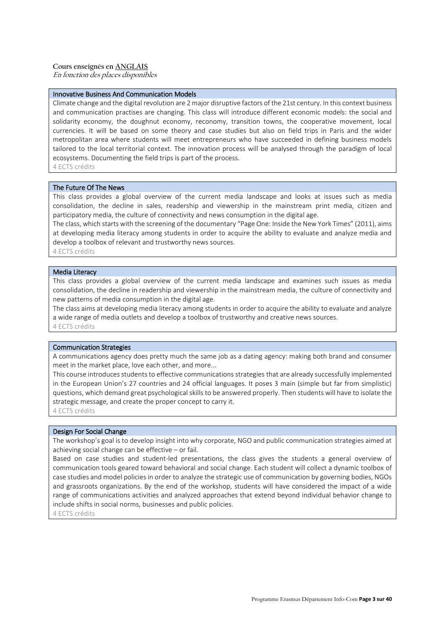### **Cours enseignés en ANGLAIS**

En fonction des places disponibles

### Innovative Business And Communication Models

Climate change and the digital revolution are 2 major disruptive factors of the 21st century. In this context business and communication practises are changing. This class will introduce different economic models: the social and solidarity economy, the doughnut economy, reconomy, transition towns, the cooperative movement, local currencies. It will be based on some theory and case studies but also on field trips in Paris and the wider metropolitan area where students will meet entrepreneurs who have succeeded in defining business models tailored to the local territorial context. The innovation process will be analysed through the paradigm of local ecosystems. Documenting the field trips is part of the process. 4 ECTS crédits

The Future Of The News

This class provides a global overview of the current media landscape and looks at issues such as media consolidation, the decline in sales, readership and viewership in the mainstream print media, citizen and participatory media, the culture of connectivity and news consumption in the digital age.

The class, which starts with the screening of the documentary "Page One: Inside the New York Times" (2011), aims at developing media literacy among students in order to acquire the ability to evaluate and analyze media and develop a toolbox of relevant and trustworthy news sources.

4 ECTS crédits

### Media Literacy

This class provides a global overview of the current media landscape and examines such issues as media consolidation, the decline in readership and viewership in the mainstream media, the culture of connectivity and new patterns of media consumption in the digital age.

The class aims at developing media literacy among students in order to acquire the ability to evaluate and analyze a wide range of media outlets and develop a toolbox of trustworthy and creative news sources. 4 ECTS crédits

### Communication Strategies

A communications agency does pretty much the same job as a dating agency: making both brand and consumer meet in the market place, love each other, and more...

This course introduces students to effective communications strategies that are already successfully implemented in the European Union's 27 countries and 24 official languages. It poses 3 main (simple but far from simplistic) questions, which demand great psychological skills to be answered properly. Then students will have to isolate the strategic message, and create the proper concept to carry it.

4 ECTS crédits

#### Design For Social Change

The workshop's goal is to develop insight into why corporate, NGO and public communication strategies aimed at achieving social change can be effective – or fail.

Based on case studies and student-led presentations, the class gives the students a general overview of communication tools geared toward behavioral and social change. Each student will collect a dynamic toolbox of case studies and model policies in order to analyze the strategic use of communication by governing bodies, NGOs and grassroots organizations. By the end of the workshop, students will have considered the impact of a wide range of communications activities and analyzed approaches that extend beyond individual behavior change to include shifts in social norms, businesses and public policies.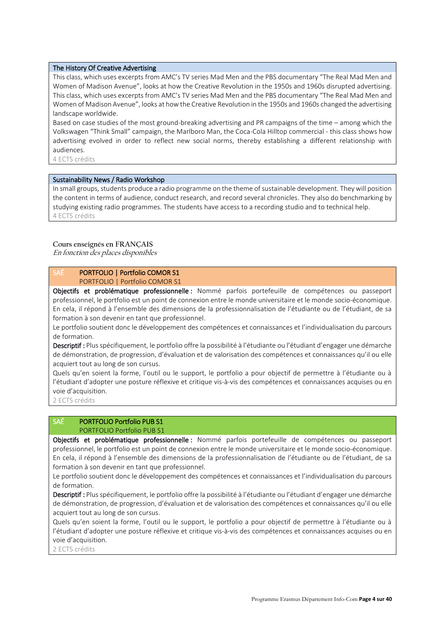### The History Of Creative Advertising

This class, which uses excerpts from AMC's TV series Mad Men and the PBS documentary "The Real Mad Men and Women of Madison Avenue", looks at how the Creative Revolution in the 1950s and 1960s disrupted advertising. This class, which uses excerpts from AMC's TV series Mad Men and the PBS documentary "The Real Mad Men and Women of Madison Avenue", looks at how the Creative Revolution in the 1950s and 1960s changed the advertising landscape worldwide.

Based on case studies of the most ground-breaking advertising and PR campaigns of the time – among which the Volkswagen "Think Small" campaign, the Marlboro Man, the Coca-Cola Hilltop commercial - this class shows how advertising evolved in order to reflect new social norms, thereby establishing a different relationship with audiences.

4 ECTS crédits

#### Sustainability News / Radio Workshop

In small groups, students produce a radio programme on the theme of sustainable development. They will position the content in terms of audience, conduct research, and record several chronicles. They also do benchmarking by studying existing radio programmes. The students have access to a recording studio and to technical help. 4 ECTS crédits

#### **Cours enseignés en FRANÇAIS**

En fonction des places disponibles

### SAÉ PORTFOLIO | Portfolio COMOR S1 PORTFOLIO | Portfolio COMOR S1

Objectifs et problématique professionnelle : Nommé parfois portefeuille de compétences ou passeport professionnel, le portfolio est un point de connexion entre le monde universitaire et le monde socio-économique. En cela, il répond à l'ensemble des dimensions de la professionnalisation de l'étudiante ou de l'étudiant, de sa formation à son devenir en tant que professionnel.

Le portfolio soutient donc le développement des compétences et connaissances et l'individualisation du parcours de formation.

Descriptif : Plus spécifiquement, le portfolio offre la possibilité à l'étudiante ou l'étudiant d'engager une démarche de démonstration, de progression, d'évaluation et de valorisation des compétences et connaissances qu'il ou elle acquiert tout au long de son cursus.

Quels qu'en soient la forme, l'outil ou le support, le portfolio a pour objectif de permettre à l'étudiante ou à l'étudiant d'adopter une posture réflexive et critique vis-à-vis des compétences et connaissances acquises ou en voie d'acquisition.

2 ECTS crédits

# SAÉ PORTFOLIO Portfolio PUB S1

PORTFOLIO Portfolio PUB S1

Objectifs et problématique professionnelle : Nommé parfois portefeuille de compétences ou passeport professionnel, le portfolio est un point de connexion entre le monde universitaire et le monde socio-économique. En cela, il répond à l'ensemble des dimensions de la professionnalisation de l'étudiante ou de l'étudiant, de sa formation à son devenir en tant que professionnel.

Le portfolio soutient donc le développement des compétences et connaissances et l'individualisation du parcours de formation.

Descriptif : Plus spécifiquement, le portfolio offre la possibilité à l'étudiante ou l'étudiant d'engager une démarche de démonstration, de progression, d'évaluation et de valorisation des compétences et connaissances qu'il ou elle acquiert tout au long de son cursus.

Quels qu'en soient la forme, l'outil ou le support, le portfolio a pour objectif de permettre à l'étudiante ou à l'étudiant d'adopter une posture réflexive et critique vis-à-vis des compétences et connaissances acquises ou en voie d'acquisition.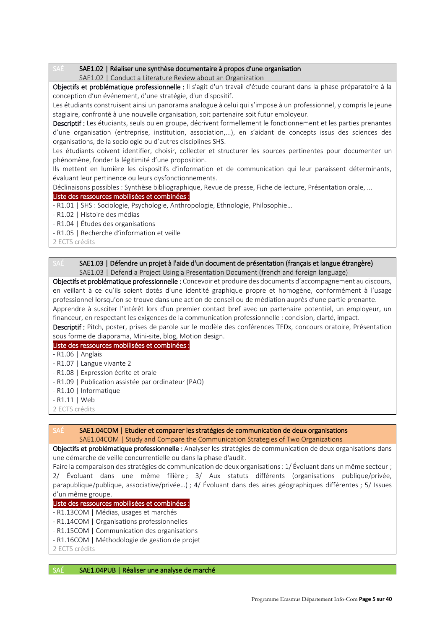### SAE1.02 | Réaliser une synthèse documentaire à propos d'une organisation

SAE1.02 | Conduct a Literature Review about an Organization

Objectifs et problématique professionnelle : Il s'agit d'un travail d'étude courant dans la phase préparatoire à la conception d'un événement, d'une stratégie, d'un dispositif.

Les étudiants construisent ainsi un panorama analogue à celui qui s'impose à un professionnel, y compris le jeune stagiaire, confronté à une nouvelle organisation, soit partenaire soit futur employeur.

Descriptif : Les étudiants, seuls ou en groupe, décrivent formellement le fonctionnement et les parties prenantes d'une organisation (entreprise, institution, association,...), en s'aidant de concepts issus des sciences des organisations, de la sociologie ou d'autres disciplines SHS.

Les étudiants doivent identifier, choisir, collecter et structurer les sources pertinentes pour documenter un phénomène, fonder la légitimité d'une proposition.

Ils mettent en lumière les dispositifs d'information et de communication qui leur paraissent déterminants, évaluant leur pertinence ou leurs dysfonctionnements.

Déclinaisons possibles : Synthèse bibliographique, Revue de presse, Fiche de lecture, Présentation orale, ...

### Liste des ressources mobilisées et combinées :

- R1.01 | SHS : Sociologie, Psychologie, Anthropologie, Ethnologie, Philosophie…

- R1.02 | Histoire des médias
- R1.04 | Études des organisations
- R1.05 | Recherche d'information et veille

2 ECTS crédits

### SAÉ SAE1.03 | Défendre un projet à l'aide d'un document de présentation (français et langue étrangère) SAE1.03 | Defend a Project Using a Presentation Document (french and foreign language)

Objectifs et problématique professionnelle : Concevoir et produire des documents d'accompagnement au discours, en veillant à ce qu'ils soient dotés d'une identité graphique propre et homogène, conformément à l'usage professionnel lorsqu'on se trouve dans une action de conseil ou de médiation auprès d'une partie prenante. Apprendre à susciter l'intérêt lors d'un premier contact bref avec un partenaire potentiel, un employeur, un financeur, en respectant les exigences de la communication professionnelle : concision, clarté, impact.

Descriptif : Pitch, poster, prises de parole sur le modèle des conférences TEDx, concours oratoire, Présentation sous forme de diaporama, Mini-site, blog, Motion design.

Liste des ressources mobilisées et combinées :

- R1.06 | Anglais
- R1.07 | Langue vivante 2
- R1.08 | Expression écrite et orale
- R1.09 | Publication assistée par ordinateur (PAO)
- R1.10 | Informatique
- R1.11 | Web
- 2 ECTS crédits

# SAÉ SAE1.04COM | Etudier et comparer les stratégies de communication de deux organisations

SAE1.04COM | Study and Compare the Communication Strategies of Two Organizations

Objectifs et problématique professionnelle : Analyser les stratégies de communication de deux organisations dans une démarche de veille concurrentielle ou dans la phase d'audit.

Faire la comparaison des stratégies de communication de deux organisations : 1/ Évoluant dans un même secteur ; 2/ Évoluant dans une même filière; 3/ Aux statuts différents (organisations publique/privée, parapublique/publique, associative/privée…) ; 4/ Évoluant dans des aires géographiques différentes ; 5/ Issues d'un même groupe.

### Liste des ressources mobilisées et combinées :

- R1.13COM | Médias, usages et marchés
- R1.14COM | Organisations professionnelles
- R1.15COM | Communication des organisations
- R1.16COM | Méthodologie de gestion de projet
- 2 ECTS crédits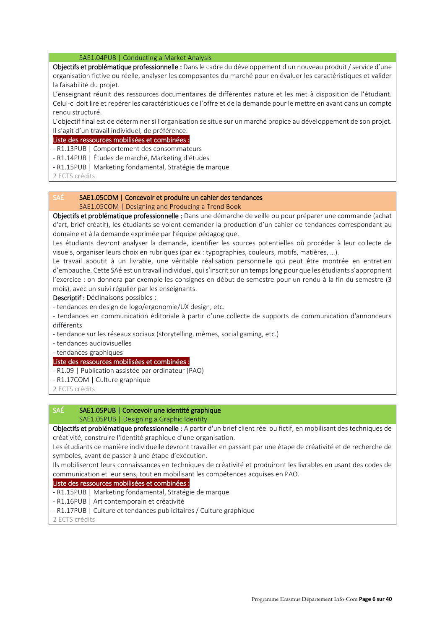SAE1.04PUB | Conducting a Market Analysis

Objectifs et problématique professionnelle : Dans le cadre du développement d'un nouveau produit / service d'une organisation fictive ou réelle, analyser les composantes du marché pour en évaluer les caractéristiques et valider la faisabilité du projet.

L'enseignant réunit des ressources documentaires de différentes nature et les met à disposition de l'étudiant. Celui-ci doit lire et repérer les caractéristiques de l'offre et de la demande pour le mettre en avant dans un compte rendu structuré.

L'objectif final est de déterminer si l'organisation se situe sur un marché propice au développement de son projet. Il s'agit d'un travail individuel, de préférence.

# Liste des ressources mobilisées et combinées :

- R1.13PUB | Comportement des consommateurs

- R1.14PUB | Études de marché, Marketing d'études
- R1.15PUB | Marketing fondamental, Stratégie de marque

2 ECTS crédits

### SAÉ SAE1.05COM | Concevoir et produire un cahier des tendances

SAE1.05COM | Designing and Producing a Trend Book

Objectifs et problématique professionnelle : Dans une démarche de veille ou pour préparer une commande (achat d'art, brief créatif), les étudiants se voient demander la production d'un cahier de tendances correspondant au domaine et à la demande exprimée par l'équipe pédagogique.

Les étudiants devront analyser la demande, identifier les sources potentielles où procéder à leur collecte de visuels, organiser leurs choix en rubriques (par ex : typographies, couleurs, motifs, matières, …).

Le travail aboutit à un livrable, une véritable réalisation personnelle qui peut être montrée en entretien d'embauche. Cette SAé est un travail individuel, qui s'inscrit sur un temps long pour que les étudiants s'approprient l'exercice : on donnera par exemple les consignes en début de semestre pour un rendu à la fin du semestre (3 mois), avec un suivi régulier par les enseignants.

Descriptif : Déclinaisons possibles :

- tendances en design de logo/ergonomie/UX design, etc.

- tendances en communication éditoriale à partir d'une collecte de supports de communication d'annonceurs différents

- tendance sur les réseaux sociaux (storytelling, mèmes, social gaming, etc.)

- tendances audiovisuelles

#### - tendances graphiques

### Liste des ressources mobilisées et combinées :

- R1.09 | Publication assistée par ordinateur (PAO)
- R1.17COM | Culture graphique
- 2 ECTS crédits

# SAÉ SAE1.05PUB | Concevoir une identité graphique

### SAE1.05PUB | Designing a Graphic Identity

Objectifs et problématique professionnelle : A partir d'un brief client réel ou fictif, en mobilisant des techniques de créativité, construire l'identité graphique d'une organisation.

Les étudiants de manière individuelle devront travailler en passant par une étape de créativité et de recherche de symboles, avant de passer à une étape d'exécution.

Ils mobiliseront leurs connaissances en techniques de créativité et produiront les livrables en usant des codes de communication et leur sens, tout en mobilisant les compétences acquises en PAO.

#### Liste des ressources mobilisées et combinées :

- R1.15PUB | Marketing fondamental, Stratégie de marque

- R1.16PUB | Art contemporain et créativité
- R1.17PUB | Culture et tendances publicitaires / Culture graphique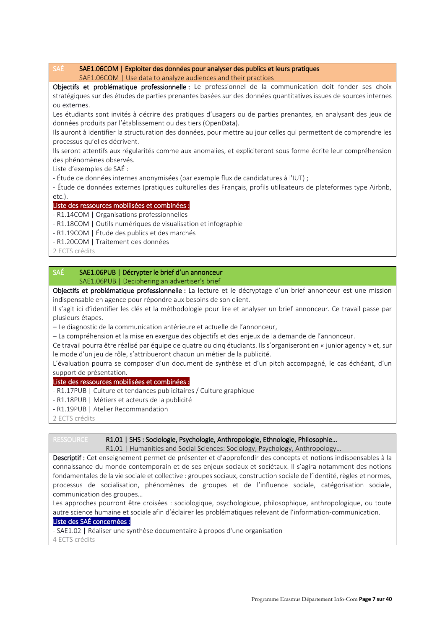### SAÉ SAE1.06COM | Exploiter des données pour analyser des publics et leurs pratiques SAE1.06COM | Use data to analyze audiences and their practices

Objectifs et problématique professionnelle : Le professionnel de la communication doit fonder ses choix stratégiques sur des études de parties prenantes basées sur des données quantitatives issues de sources internes ou externes.

Les étudiants sont invités à décrire des pratiques d'usagers ou de parties prenantes, en analysant des jeux de données produits par l'établissement ou des tiers (OpenData).

Ils auront à identifier la structuration des données, pour mettre au jour celles qui permettent de comprendre les processus qu'elles décrivent.

Ils seront attentifs aux régularités comme aux anomalies, et expliciteront sous forme écrite leur compréhension des phénomènes observés.

Liste d'exemples de SAÉ :

- Étude de données internes anonymisées (par exemple flux de candidatures à l'IUT) ;

- Étude de données externes (pratiques culturelles des Français, profils utilisateurs de plateformes type Airbnb, etc.).

### Liste des ressources mobilisées et combinées :

- R1.14COM | Organisations professionnelles

- R1.18COM | Outils numériques de visualisation et infographie
- R1.19COM | Étude des publics et des marchés
- R1.20COM | Traitement des données

2 ECTS crédits

# SAÉ SAE1.06PUB | Décrypter le brief d'un annonceur SAE1.06PUB | Deciphering an advertiser's brief

Objectifs et problématique professionnelle : La lecture et le décryptage d'un brief annonceur est une mission indispensable en agence pour répondre aux besoins de son client.

Il s'agit ici d'identifier les clés et la méthodologie pour lire et analyser un brief annonceur. Ce travail passe par plusieurs étapes.

– Le diagnostic de la communication antérieure et actuelle de l'annonceur,

– La compréhension et la mise en exergue des objectifs et des enjeux de la demande de l'annonceur.

Ce travail pourra être réalisé par équipe de quatre ou cinq étudiants. Ils s'organiseront en « junior agency » et, sur le mode d'un jeu de rôle, s'attribueront chacun un métier de la publicité.

L'évaluation pourra se composer d'un document de synthèse et d'un pitch accompagné, le cas échéant, d'un support de présentation.

### Liste des ressources mobilisées et combinées :

- R1.17PUB | Culture et tendances publicitaires / Culture graphique
- R1.18PUB | Métiers et acteurs de la publicité
- R1.19PUB | Atelier Recommandation

2 ECTS crédits

### RESSOURCE R1.01 | SHS : Sociologie, Psychologie, Anthropologie, Ethnologie, Philosophie...

R1.01 | Humanities and Social Sciences: Sociology, Psychology, Anthropology...

Descriptif : Cet enseignement permet de présenter et d'approfondir des concepts et notions indispensables à la connaissance du monde contemporain et de ses enjeux sociaux et sociétaux. Il s'agira notamment des notions fondamentales de la vie sociale et collective : groupes sociaux, construction sociale de l'identité, règles et normes, processus de socialisation, phénomènes de groupes et de l'influence sociale, catégorisation sociale, communication des groupes…

Les approches pourront être croisées : sociologique, psychologique, philosophique, anthropologique, ou toute autre science humaine et sociale afin d'éclairer les problématiques relevant de l'information-communication.

### Liste des SAÉ concernées :

- SAE1.02 | Réaliser une synthèse documentaire à propos d'une organisation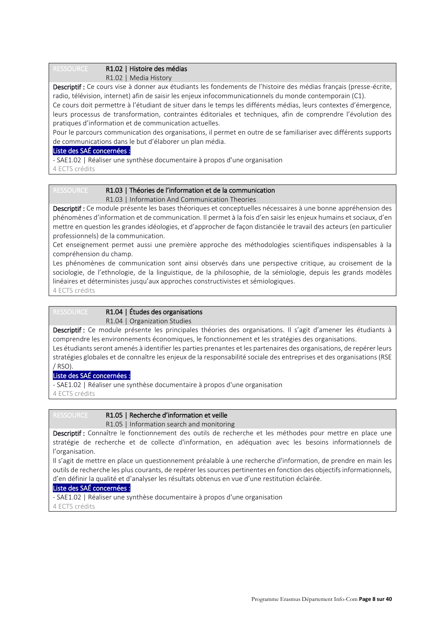RESSOURCE R1.02 | Histoire des médias

R1.02 | Media History

Descriptif : Ce cours vise à donner aux étudiants les fondements de l'histoire des médias français (presse-écrite, radio, télévision, internet) afin de saisir les enjeux infocommunicationnels du monde contemporain (C1).

Ce cours doit permettre à l'étudiant de situer dans le temps les différents médias, leurs contextes d'émergence, leurs processus de transformation, contraintes éditoriales et techniques, afin de comprendre l'évolution des pratiques d'information et de communication actuelles.

Pour le parcours communication des organisations, il permet en outre de se familiariser avec différents supports de communications dans le but d'élaborer un plan média.

### Liste des SAÉ concernées :

- SAE1.02 | Réaliser une synthèse documentaire à propos d'une organisation

4 ECTS crédits

# RESSOURCE R1.03 | Théories de l'information et de la communication

R1.03 | Information And Communication Theories

Descriptif : Ce module présente les bases théoriques et conceptuelles nécessaires à une bonne appréhension des phénomènes d'information et de communication. Il permet à la fois d'en saisir les enjeux humains et sociaux, d'en mettre en question les grandes idéologies, et d'approcher de façon distanciée le travail des acteurs (en particulier professionnels) de la communication.

Cet enseignement permet aussi une première approche des méthodologies scientifiques indispensables à la compréhension du champ.

Les phénomènes de communication sont ainsi observés dans une perspective critique, au croisement de la sociologie, de l'ethnologie, de la linguistique, de la philosophie, de la sémiologie, depuis les grands modèles linéaires et déterministes jusqu'aux approches constructivistes et sémiologiques. 4 ECTS crédits

# RESSOURCE R1.04 | Études des organisations

R1.04 | Organization Studies

Descriptif : Ce module présente les principales théories des organisations. Il s'agit d'amener les étudiants à comprendre les environnements économiques, le fonctionnement et les stratégies des organisations.

Les étudiants seront amenés à identifier les parties prenantes et les partenaires des organisations, de repérer leurs stratégies globales et de connaître les enjeux de la responsabilité sociale des entreprises et des organisations (RSE / RSO).

# Liste des SAÉ concernées :

- SAE1.02 | Réaliser une synthèse documentaire à propos d'une organisation 4 ECTS crédits

# RESSOURCE R1.05 | Recherche d'information et veille

R1.05 | Information search and monitoring

Descriptif : Connaître le fonctionnement des outils de recherche et les méthodes pour mettre en place une stratégie de recherche et de collecte d'information, en adéquation avec les besoins informationnels de l'organisation.

Il s'agit de mettre en place un questionnement préalable à une recherche d'information, de prendre en main les outils de recherche les plus courants, de repérer les sources pertinentes en fonction des objectifs informationnels, d'en définir la qualité et d'analyser les résultats obtenus en vue d'une restitution éclairée.

### Liste des SAÉ concernées :

- SAE1.02 | Réaliser une synthèse documentaire à propos d'une organisation 4 ECTS crédits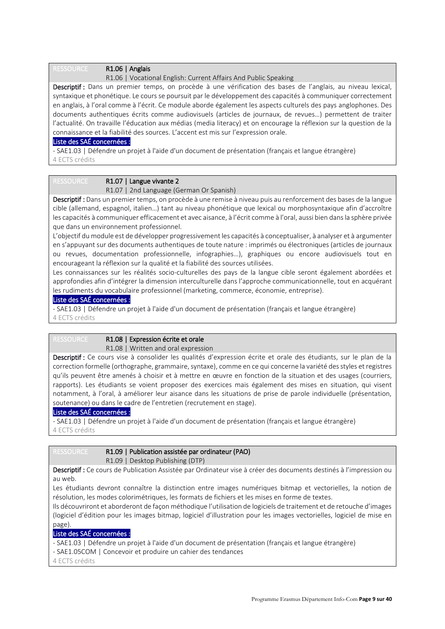### RESSOURCE R1.06 | Anglais

R1.06 | Vocational English: Current Affairs And Public Speaking

Descriptif : Dans un premier temps, on procède à une vérification des bases de l'anglais, au niveau lexical, syntaxique et phonétique. Le cours se poursuit par le développement des capacités à communiquer correctement en anglais, à l'oral comme à l'écrit. Ce module aborde également les aspects culturels des pays anglophones. Des documents authentiques écrits comme audiovisuels (articles de journaux, de revues…) permettent de traiter l'actualité. On travaille l'éducation aux médias (media literacy) et on encourage la réflexion sur la question de la connaissance et la fiabilité des sources. L'accent est mis sur l'expression orale.

### Liste des SAÉ concernées :

- SAE1.03 | Défendre un projet à l'aide d'un document de présentation (français et langue étrangère) 4 ECTS crédits

# RESSOURCE R1.07 | Langue vivante 2

R1.07 | 2nd Language (German Or Spanish)

Descriptif : Dans un premier temps, on procède à une remise à niveau puis au renforcement des bases de la langue cible (allemand, espagnol, italien…) tant au niveau phonétique que lexical ou morphosyntaxique afin d'accroître les capacités à communiquer efficacement et avec aisance, à l'écrit comme à l'oral, aussi bien dans la sphère privée que dans un environnement professionnel.

L'objectif du module est de développer progressivement les capacités à conceptualiser, à analyser et à argumenter en s'appuyant sur des documents authentiques de toute nature : imprimés ou électroniques (articles de journaux ou revues, documentation professionnelle, infographies…), graphiques ou encore audiovisuels tout en encourageant la réflexion sur la qualité et la fiabilité des sources utilisées.

Les connaissances sur les réalités socio-culturelles des pays de la langue cible seront également abordées et approfondies afin d'intégrer la dimension interculturelle dans l'approche communicationnelle, tout en acquérant les rudiments du vocabulaire professionnel (marketing, commerce, économie, entreprise).

### Liste des SAÉ concernées :

- SAE1.03 | Défendre un projet à l'aide d'un document de présentation (français et langue étrangère) 4 ECTS crédits

# RESSOURCE R1.08 | Expression écrite et orale

R1.08 | Written and oral expression

Descriptif : Ce cours vise à consolider les qualités d'expression écrite et orale des étudiants, sur le plan de la correction formelle (orthographe, grammaire, syntaxe), comme en ce qui concerne la variété des styles et registres qu'ils peuvent être amenés à choisir et à mettre en œuvre en fonction de la situation et des usages (courriers, rapports). Les étudiants se voient proposer des exercices mais également des mises en situation, qui visent notamment, à l'oral, à améliorer leur aisance dans les situations de prise de parole individuelle (présentation, soutenance) ou dans le cadre de l'entretien (recrutement en stage).

# Liste des SAÉ concernées :

- SAE1.03 | Défendre un projet à l'aide d'un document de présentation (français et langue étrangère) 4 ECTS crédits

# RESSOURCE R1.09 | Publication assistée par ordinateur (PAO)

R1.09 | Desktop Publishing (DTP)

Descriptif : Ce cours de Publication Assistée par Ordinateur vise à créer des documents destinés à l'impression ou au web.

Les étudiants devront connaître la distinction entre images numériques bitmap et vectorielles, la notion de résolution, les modes colorimétriques, les formats de fichiers et les mises en forme de textes.

Ils découvriront et aborderont de façon méthodique l'utilisation de logiciels de traitement et de retouche d'images (logiciel d'édition pour les images bitmap, logiciel d'illustration pour les images vectorielles, logiciel de mise en page).

# Liste des SAÉ concernées :

- SAE1.03 | Défendre un projet à l'aide d'un document de présentation (français et langue étrangère)

- SAE1.05COM | Concevoir et produire un cahier des tendances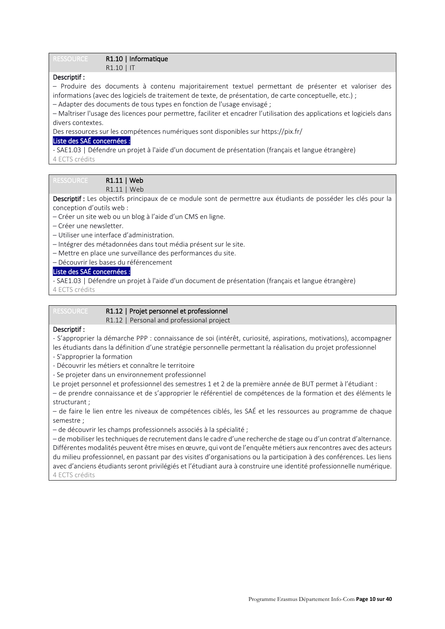### RESSOURCE R1.10 | Informatique R1.10 | IT

### Descriptif :

– Produire des documents à contenu majoritairement textuel permettant de présenter et valoriser des informations (avec des logiciels de traitement de texte, de présentation, de carte conceptuelle, etc.) ;

– Adapter des documents de tous types en fonction de l'usage envisagé ;

– Maîtriser l'usage des licences pour permettre, faciliter et encadrer l'utilisation des applications et logiciels dans divers contextes.

Des ressources sur les compétences numériques sont disponibles sur https://pix.fr/

### Liste des SAÉ concernées :

- SAE1.03 | Défendre un projet à l'aide d'un document de présentation (français et langue étrangère) 4 ECTS crédits

# RESSOURCE R1.11 | Web

R1.11 | Web

Descriptif : Les objectifs principaux de ce module sont de permettre aux étudiants de posséder les clés pour la conception d'outils web :

– Créer un site web ou un blog à l'aide d'un CMS en ligne.

- Créer une newsletter.
- Utiliser une interface d'administration.
- Intégrer des métadonnées dans tout média présent sur le site.
- Mettre en place une surveillance des performances du site.
- Découvrir les bases du référencement

# Liste des SAÉ concernées :

- SAE1.03 | Défendre un projet à l'aide d'un document de présentation (français et langue étrangère) 4 ECTS crédits

# RESSOURCE R1.12 | Projet personnel et professionnel

R1.12 | Personal and professional project

# Descriptif :

- S'approprier la démarche PPP : connaissance de soi (intérêt, curiosité, aspirations, motivations), accompagner les étudiants dans la définition d'une stratégie personnelle permettant la réalisation du projet professionnel

- S'approprier la formation
- Découvrir les métiers et connaître le territoire
- Se projeter dans un environnement professionnel
- Le projet personnel et professionnel des semestres 1 et 2 de la première année de BUT permet à l'étudiant :

– de prendre connaissance et de s'approprier le référentiel de compétences de la formation et des éléments le structurant ;

– de faire le lien entre les niveaux de compétences ciblés, les SAÉ et les ressources au programme de chaque semestre ;

– de découvrir les champs professionnels associés à la spécialité ;

– de mobiliser les techniques de recrutement dans le cadre d'une recherche de stage ou d'un contrat d'alternance. Différentes modalités peuvent être mises en œuvre, qui vont de l'enquête métiers aux rencontres avec des acteurs du milieu professionnel, en passant par des visites d'organisations ou la participation à des conférences. Les liens avec d'anciens étudiants seront privilégiés et l'étudiant aura à construire une identité professionnelle numérique. 4 ECTS crédits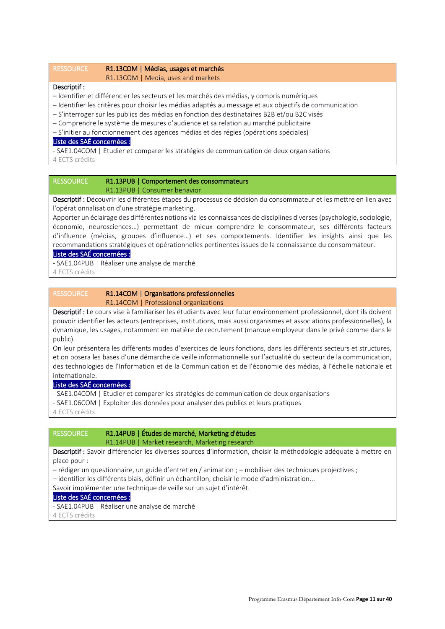RESSOURCE R1.13COM | Médias, usages et marchés

R1.13COM | Media, uses and markets

### Descriptif :

- Identifier et différencier les secteurs et les marchés des médias, y compris numériques
- Identifier les critères pour choisir les médias adaptés au message et aux objectifs de communication
- S'interroger sur les publics des médias en fonction des destinataires B2B et/ou B2C visés
- Comprendre le système de mesures d'audience et sa relation au marché publicitaire
- S'initier au fonctionnement des agences médias et des régies (opérations spéciales)

#### Liste des SAÉ concernées :

- SAE1.04COM | Etudier et comparer les stratégies de communication de deux organisations 4 ECTS crédits

### RESSOURCE R1.13PUB | Comportement des consommateurs R1.13PUB | Consumer behavior

Descriptif : Découvrir les différentes étapes du processus de décision du consommateur et les mettre en lien avec l'opérationnalisation d'une stratégie marketing.

Apporter un éclairage des différentes notions via les connaissances de disciplines diverses (psychologie, sociologie, économie, neurosciences…) permettant de mieux comprendre le consommateur, ses différents facteurs d'influence (médias, groupes d'influence…) et ses comportements. Identifier les insights ainsi que les recommandations stratégiques et opérationnelles pertinentes issues de la connaissance du consommateur.

### Liste des SAÉ concernées :

- SAE1.04PUB | Réaliser une analyse de marché

4 ECTS crédits

### RESSOURCE R1.14COM | Organisations professionnelles R1.14COM | Professional organizations

Descriptif : Le cours vise à familiariser les étudiants avec leur futur environnement professionnel, dont ils doivent pouvoir identifier les acteurs (entreprises, institutions, mais aussi organismes et associations professionnelles), la dynamique, les usages, notamment en matière de recrutement (marque employeur dans le privé comme dans le public).

On leur présentera les différents modes d'exercices de leurs fonctions, dans les différents secteurs et structures, et on posera les bases d'une démarche de veille informationnelle sur l'actualité du secteur de la communication, des technologies de l'Information et de la Communication et de l'économie des médias, à l'échelle nationale et internationale.

### Liste des SAÉ concernées :

- SAE1.04COM | Etudier et comparer les stratégies de communication de deux organisations

- SAE1.06COM | Exploiter des données pour analyser des publics et leurs pratiques

4 ECTS crédits

# RESSOURCE R1.14PUB | Études de marché, Marketing d'études

#### R1.14PUB | Market research, Marketing research

Descriptif : Savoir différencier les diverses sources d'information, choisir la méthodologie adéquate à mettre en place pour :

- rédiger un questionnaire, un guide d'entretien / animation ; mobiliser des techniques projectives ;
- identifier les différents biais, définir un échantillon, choisir le mode d'administration...

Savoir implémenter une technique de veille sur un sujet d'intérêt.

### Liste des SAÉ concernées :

- SAE1.04PUB | Réaliser une analyse de marché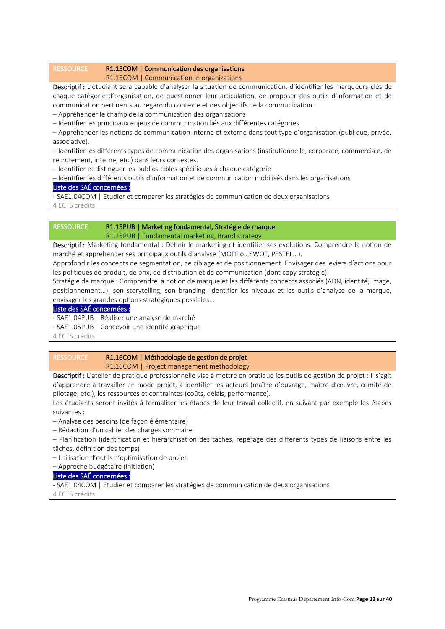### RESSOURCE R1.15COM | Communication des organisations

R1.15COM | Communication in organizations

Descriptif : L'étudiant sera capable d'analyser la situation de communication, d'identifier les marqueurs-clés de chaque catégorie d'organisation, de questionner leur articulation, de proposer des outils d'information et de communication pertinents au regard du contexte et des objectifs de la communication :

– Appréhender le champ de la communication des organisations

– Identifier les principaux enjeux de communication liés aux différentes catégories

– Appréhender les notions de communication interne et externe dans tout type d'organisation (publique, privée, associative).

– Identifier les différents types de communication des organisations (institutionnelle, corporate, commerciale, de recrutement, interne, etc.) dans leurs contextes.

– Identifier et distinguer les publics-cibles spécifiques à chaque catégorie

– Identifier les différents outils d'information et de communication mobilisés dans les organisations

### Liste des SAÉ concernées :

- SAE1.04COM | Etudier et comparer les stratégies de communication de deux organisations 4 ECTS crédits

### RESSOURCE R1.15PUB | Marketing fondamental, Stratégie de marque R1.15PUB | Fundamental marketing, Brand strategy

Descriptif : Marketing fondamental : Définir le marketing et identifier ses évolutions. Comprendre la notion de marché et appréhender ses principaux outils d'analyse (MOFF ou SWOT, PESTEL...).

Approfondir les concepts de segmentation, de ciblage et de positionnement. Envisager des leviers d'actions pour les politiques de produit, de prix, de distribution et de communication (dont copy stratégie).

Stratégie de marque : Comprendre la notion de marque et les différents concepts associés (ADN, identité, image, positionnement...), son storytelling, son branding, identifier les niveaux et les outils d'analyse de la marque, envisager les grandes options stratégiques possibles...

### Liste des SAÉ concernées :

- SAE1.04PUB | Réaliser une analyse de marché

- SAE1.05PUB | Concevoir une identité graphique

4 ECTS crédits

### RESSOURCE R1.16COM | Méthodologie de gestion de projet

R1.16COM | Project management methodology

Descriptif : L'atelier de pratique professionnelle vise à mettre en pratique les outils de gestion de projet : il s'agit d'apprendre à travailler en mode projet, à identifier les acteurs (maître d'ouvrage, maître d'œuvre, comité de pilotage, etc.), les ressources et contraintes (coûts, délais, performance).

Les étudiants seront invités à formaliser les étapes de leur travail collectif, en suivant par exemple les étapes suivantes :

– Analyse des besoins (de façon élémentaire)

– Rédaction d'un cahier des charges sommaire

– Planification (identification et hiérarchisation des tâches, repérage des différents types de liaisons entre les tâches, définition des temps)

– Utilisation d'outils d'optimisation de projet

– Approche budgétaire (initiation)

# Liste des SAÉ concernées :

- SAE1.04COM | Etudier et comparer les stratégies de communication de deux organisations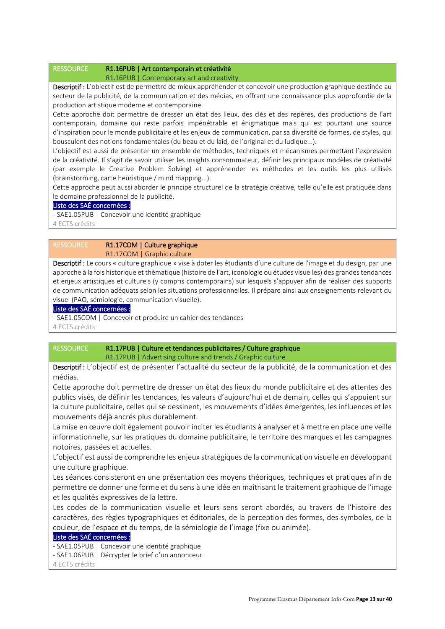### RESSOURCE R1.16PUB | Art contemporain et créativité

R1.16PUB | Contemporary art and creativity

Descriptif : L'objectif est de permettre de mieux appréhender et concevoir une production graphique destinée au secteur de la publicité, de la communication et des médias, en offrant une connaissance plus approfondie de la production artistique moderne et contemporaine.

Cette approche doit permettre de dresser un état des lieux, des clés et des repères, des productions de l'art contemporain, domaine qui reste parfois impénétrable et énigmatique mais qui est pourtant une source d'inspiration pour le monde publicitaire et les enjeux de communication, par sa diversité de formes, de styles, qui bousculent des notions fondamentales (du beau et du laid, de l'original et du ludique...).

L'objectif est aussi de présenter un ensemble de méthodes, techniques et mécanismes permettant l'expression de la créativité. Il s'agit de savoir utiliser les insights consommateur, définir les principaux modèles de créativité (par exemple le Creative Problem Solving) et appréhender les méthodes et les outils les plus utilisés (brainstorming, carte heuristique / mind mapping...).

Cette approche peut aussi aborder le principe structurel de la stratégie créative, telle qu'elle est pratiquée dans le domaine professionnel de la publicité.

# Liste des SAÉ concernées :

- SAE1.05PUB | Concevoir une identité graphique

4 ECTS crédits

### RESSOURCE R1.17COM | Culture graphique R1.17COM | Graphic culture

Descriptif : Le cours « culture graphique » vise à doter les étudiants d'une culture de l'image et du design, par une approche à la fois historique et thématique (histoire de l'art, iconologie ou études visuelles) des grandes tendances et enjeux artistiques et culturels (y compris contemporains) sur lesquels s'appuyer afin de réaliser des supports de communication adéquats selon les situations professionnelles. Il prépare ainsi aux enseignements relevant du visuel (PAO, sémiologie, communication visuelle).

### Liste des SAÉ concernées :

- SAE1.05COM | Concevoir et produire un cahier des tendances

4 ECTS crédits

# RESSOURCE R1.17PUB | Culture et tendances publicitaires / Culture graphique R1.17PUB | Advertising culture and trends / Graphic culture

Descriptif : L'objectif est de présenter l'actualité du secteur de la publicité, de la communication et des médias.

Cette approche doit permettre de dresser un état des lieux du monde publicitaire et des attentes des publics visés, de définir les tendances, les valeurs d'aujourd'hui et de demain, celles qui s'appuient sur la culture publicitaire, celles qui se dessinent, les mouvements d'idées émergentes, les influences et les mouvements déjà ancrés plus durablement.

La mise en œuvre doit également pouvoir inciter les étudiants à analyser et à mettre en place une veille informationnelle, sur les pratiques du domaine publicitaire, le territoire des marques et les campagnes notoires, passées et actuelles.

L'objectif est aussi de comprendre les enjeux stratégiques de la communication visuelle en développant une culture graphique.

Les séances consisteront en une présentation des moyens théoriques, techniques et pratiques afin de permettre de donner une forme et du sens à une idée en maîtrisant le traitement graphique de l'image et les qualités expressives de la lettre.

Les codes de la communication visuelle et leurs sens seront abordés, au travers de l'histoire des caractères, des règles typographiques et éditoriales, de la perception des formes, des symboles, de la couleur, de l'espace et du temps, de la sémiologie de l'image (fixe ou animée).

# Liste des SAÉ concernées :

- SAE1.05PUB | Concevoir une identité graphique

- SAE1.06PUB | Décrypter le brief d'un annonceur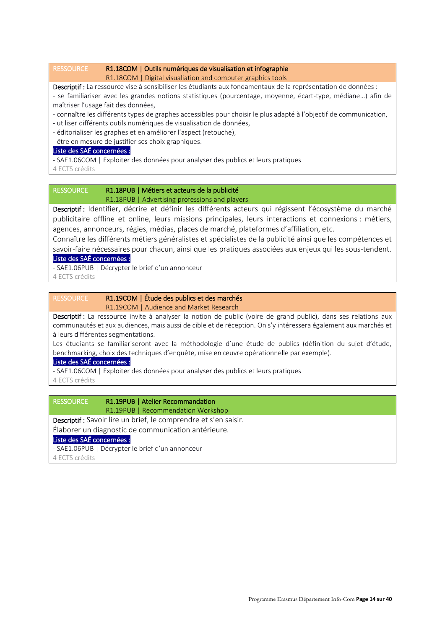### RESSOURCE R1.18COM | Outils numériques de visualisation et infographie

R1.18COM | Digital visualiation and computer graphics tools

Descriptif : La ressource vise à sensibiliser les étudiants aux fondamentaux de la représentation de données :

- se familiariser avec les grandes notions statistiques (pourcentage, moyenne, écart-type, médiane…) afin de maîtriser l'usage fait des données,

- connaître les différents types de graphes accessibles pour choisir le plus adapté à l'objectif de communication,
- utiliser différents outils numériques de visualisation de données,

- éditorialiser les graphes et en améliorer l'aspect (retouche),

- être en mesure de justifier ses choix graphiques.

### Liste des SAÉ concernées :

- SAE1.06COM | Exploiter des données pour analyser des publics et leurs pratiques

4 ECTS crédits

### RESSOURCE R1.18PUB | Métiers et acteurs de la publicité R1.18PUB | Advertising professions and players

Descriptif : Identifier, décrire et définir les différents acteurs qui régissent l'écosystème du marché publicitaire offline et online, leurs missions principales, leurs interactions et connexions : métiers, agences, annonceurs, régies, médias, places de marché, plateformes d'affiliation, etc.

Connaître les différents métiers généralistes et spécialistes de la publicité ainsi que les compétences et savoir-faire nécessaires pour chacun, ainsi que les pratiques associées aux enjeux qui les sous-tendent. Liste des SAÉ concernées :

- SAE1.06PUB | Décrypter le brief d'un annonceur

4 ECTS crédits

# RESSOURCE R1.19COM | Étude des publics et des marchés

R1.19COM | Audience and Market Research

Descriptif : La ressource invite à analyser la notion de public (voire de grand public), dans ses relations aux communautés et aux audiences, mais aussi de cible et de réception. On s'y intéressera également aux marchés et à leurs différentes segmentations.

Les étudiants se familiariseront avec la méthodologie d'une étude de publics (définition du sujet d'étude, benchmarking, choix des techniques d'enquête, mise en œuvre opérationnelle par exemple).

### Liste des SAÉ concernées :

- SAE1.06COM | Exploiter des données pour analyser des publics et leurs pratiques

4 ECTS crédits

RESSOURCE R1.19PUB | Atelier Recommandation R1.19PUB | Recommendation Workshop

Descriptif : Savoir lire un brief, le comprendre et s'en saisir.

Élaborer un diagnostic de communication antérieure.

Liste des SAÉ concernées :

- SAE1.06PUB | Décrypter le brief d'un annonceur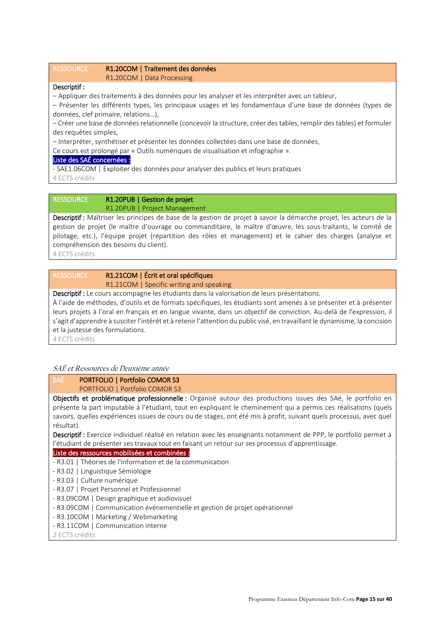### RESSOURCE R1.20COM | Traitement des données R1.20COM | Data Processing

### Descriptif :

– Appliquer des traitements à des données pour les analyser et les interpréter avec un tableur,

– Présenter les différents types, les principaux usages et les fondamentaux d'une base de données (types de données, clef primaire, relations…),

– Créer une base de données relationnelle (concevoir la structure, créer des tables, remplir des tables) et formuler des requêtes simples,

– Interpréter, synthétiser et présenter les données collectées dans une base de données,

Ce cours est prolongé par « Outils numériques de visualisation et infographie ».

### Liste des SAÉ concernées :

- SAE1.06COM | Exploiter des données pour analyser des publics et leurs pratiques

4 ECTS crédits

### RESSOURCE R1.20PUB | Gestion de projet R1.20PUB | Project Management

Descriptif : Maîtriser les principes de base de la gestion de projet à savoir la démarche projet, les acteurs de la gestion de projet (le maître d'ouvrage ou commanditaire, le maître d'œuvre, les sous-traitants, le comité́ de pilotage, etc.), l'équipe projet (répartition des rôles et management) et le cahier des charges (analyse et compréhension des besoins du client).

4 ECTS crédits

# RESSOURCE R1.21COM | Écrit et oral spécifiques R1.21COM | Specific writing and speaking

Descriptif : Le cours accompagne les étudiants dans la valorisation de leurs présentations.

À l'aide de méthodes, d'outils et de formats spécifiques, les étudiants sont amenés à se présenter et à présenter leurs projets à l'oral en français et en langue vivante, dans un objectif de conviction. Au-delà de l'expression, il s'agit d'apprendre à susciter l'intérêt et à retenir l'attention du public visé, en travaillant le dynamisme, la concision et la justesse des formulations.

4 ECTS crédits

# SAÉ et Ressources de Deuxième année

# SAÉ PORTFOLIO | Portfolio COMOR S3

# PORTFOLIO | Portfolio COMOR S3

Objectifs et problématique professionnelle : Organisé autour des productions issues des SAé, le portfolio en présente la part imputable à l'étudiant, tout en expliquant le cheminement qui a permis ces réalisations (quels savoirs, quelles expériences issues de cours ou de stages, ont été mis à profit, suivant quels processus, avec quel résultat).

Descriptif : Exercice individuel réalisé en relation avec les enseignants notamment de PPP, le portfolio permet à l'étudiant de présenter ses travaux tout en faisant un retour sur ses processus d'apprentissage.

### Liste des ressources mobilisées et combinées :

- R3.01 | Théories de l'information et de la communication
- R3.02 | Linguistique Sémiologie
- R3.03 | Culture numérique
- R3.07 | Projet Personnel et Professionnel
- R3.09COM | Design graphique et audiovisuel
- R3.09COM | Communication événementielle et gestion de projet opérationnel
- R3.10COM | Marketing / Webmarketing
- R3.11COM | Communication interne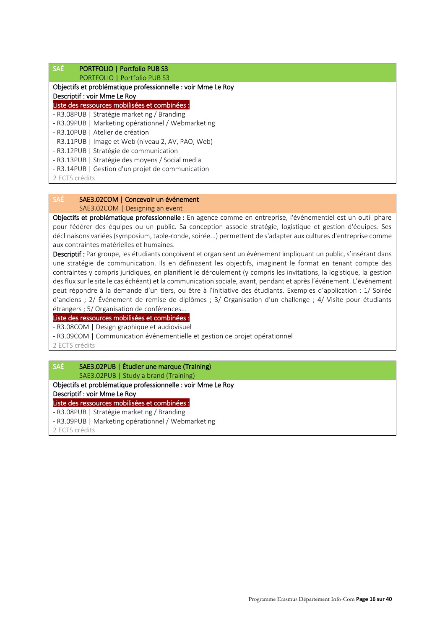# SAÉ PORTFOLIO | Portfolio PUB S3

 PORTFOLIO | Portfolio PUB S3 Objectifs et problématique professionnelle : voir Mme Le Roy Descriptif : voir Mme Le Roy Liste des ressources mobilisées et combinées : - R3.08PUB | Stratégie marketing / Branding - R3.09PUB | Marketing opérationnel / Webmarketing - R3.10PUB | Atelier de création - R3.11PUB | Image et Web (niveau 2, AV, PAO, Web) - R3.12PUB | Stratégie de communication

- R3.13PUB | Stratégie des moyens / Social media

- R3.14PUB | Gestion d'un projet de communication

2 ECTS crédits

# SAÉ SAE3.02COM | Concevoir un événement

SAE3.02COM | Designing an event

Objectifs et problématique professionnelle : En agence comme en entreprise, l'événementiel est un outil phare pour fédérer des équipes ou un public. Sa conception associe stratégie, logistique et gestion d'équipes. Ses déclinaisons variées (symposium, table-ronde, soirée...) permettent de s'adapter aux cultures d'entreprise comme aux contraintes matérielles et humaines.

Descriptif : Par groupe, les étudiants concoivent et organisent un événement impliquant un public, s'insérant dans une stratégie de communication. Ils en définissent les objectifs, imaginent le format en tenant compte des contraintes y compris juridiques, en planifient le déroulement (y compris les invitations, la logistique, la gestion des flux sur le site le cas échéant) et la communication sociale, avant, pendant et après l'événement. L'événement peut répondre à la demande d'un tiers, ou être à l'initiative des étudiants. Exemples d'application : 1/ Soirée d'anciens ; 2/ Événement de remise de diplômes ; 3/ Organisation d'un challenge ; 4/ Visite pour étudiants étrangers ; 5/ Organisation de conférences...

### Liste des ressources mobilisées et combinées :

- R3.08COM | Design graphique et audiovisuel

- R3.09COM | Communication événementielle et gestion de projet opérationnel

2 ECTS crédits

# SAÉ SAE3.02PUB | Étudier une marque (Training)

 SAE3.02PUB | Study a brand (Training) Objectifs et problématique professionnelle : voir Mme Le Roy

Descriptif : voir Mme Le Roy

Liste des ressources mobilisées et combinées :

- R3.08PUB | Stratégie marketing / Branding

- R3.09PUB | Marketing opérationnel / Webmarketing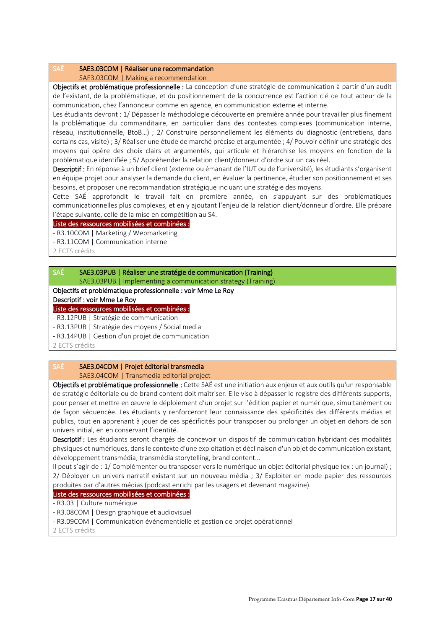### SAÉ SAE3.03COM | Réaliser une recommandation

SAE3.03COM | Making a recommendation

Objectifs et problématique professionnelle : La conception d'une stratégie de communication à partir d'un audit de l'existant, de la problématique, et du positionnement de la concurrence est l'action clé de tout acteur de la communication, chez l'annonceur comme en agence, en communication externe et interne.

Les étudiants devront : 1/ Dépasser la méthodologie découverte en première année pour travailler plus finement la problématique du commanditaire, en particulier dans des contextes complexes (communication interne, réseau, institutionnelle, BtoB…) ; 2/ Construire personnellement les éléments du diagnostic (entretiens, dans certains cas, visite) ; 3/ Réaliser une étude de marché précise et argumentée ; 4/ Pouvoir définir une stratégie des moyens qui opère des choix clairs et argumentés, qui articule et hiérarchise les moyens en fonction de la problématique identifiée ; 5/ Appréhender la relation client/donneur d'ordre sur un cas réel.

Descriptif : En réponse à un brief client (externe ou émanant de l'IUT ou de l'université), les étudiants s'organisent en équipe projet pour analyser la demande du client, en évaluer la pertinence, étudier son positionnement et ses besoins, et proposer une recommandation stratégique incluant une stratégie des moyens.

Cette SAÉ approfondit le travail fait en première année, en s'appuyant sur des problématiques communicationnelles plus complexes, et en y ajoutant l'enjeu de la relation client/donneur d'ordre. Elle prépare l'étape suivante, celle de la mise en compétition au S4.

### Liste des ressources mobilisées et combinées :

- R3.10COM | Marketing / Webmarketing

- R3.11COM | Communication interne

2 ECTS crédits

# SAÉ SAE3.03PUB | Réaliser une stratégie de communication (Training)

SAE3.03PUB | Implementing a communication strategy (Training)

Objectifs et problématique professionnelle : voir Mme Le Roy

Descriptif : voir Mme Le Roy

Liste des ressources mobilisées et combinées :

- R3.12PUB | Stratégie de communication

- R3.13PUB | Stratégie des moyens / Social media

- R3.14PUB | Gestion d'un projet de communication

2 ECTS crédits

# SAÉ SAE3.04COM | Projet éditorial transmedia

SAE3.04COM | Transmedia editorial project

Objectifs et problématique professionnelle : Cette SAÉ est une initiation aux enjeux et aux outils qu'un responsable de stratégie éditoriale ou de brand content doit maîtriser. Elle vise à dépasser le registre des différents supports, pour penser et mettre en œuvre le déploiement d'un projet sur l'édition papier et numérique, simultanément ou de façon séquencée. Les étudiants y renforceront leur connaissance des spécificités des différents médias et publics, tout en apprenant à jouer de ces spécificités pour transposer ou prolonger un objet en dehors de son univers initial, en en conservant l'identité.

Descriptif : Les étudiants seront chargés de concevoir un dispositif de communication hybridant des modalités physiques et numériques, dans le contexte d'une exploitation et déclinaison d'un objet de communication existant, développement transmédia, transmédia storytelling, brand content...

Il peut s'agir de : 1/ Complémenter ou transposer vers le numérique un objet éditorial physique (ex : un journal) ; 2/ Déployer un univers narratif existant sur un nouveau média ; 3/ Exploiter en mode papier des ressources produites par d'autres médias (podcast enrichi par les usagers et devenant magazine).

### Liste des ressources mobilisées et combinées :

- R3.03 | Culture numérique

- R3.08COM | Design graphique et audiovisuel

- R3.09COM | Communication événementielle et gestion de projet opérationnel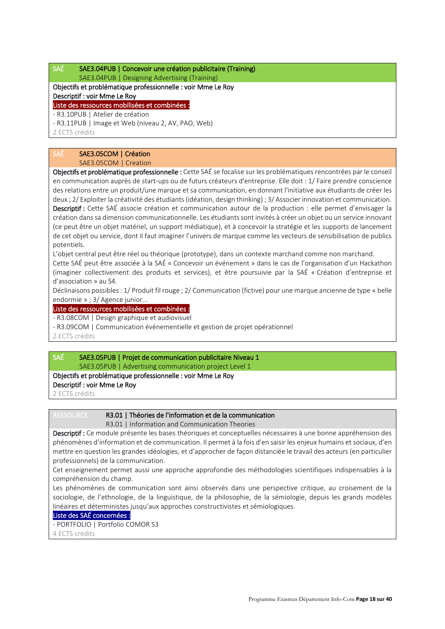# SAÉ SAE3.04PUB | Concevoir une création publicitaire (Training)

### SAE3.04PUB | Designing Advertising (Training) Objectifs et problématique professionnelle : voir Mme Le Roy

# Descriptif : voir Mme Le Roy

Liste des ressources mobilisées et combinées :

- R3.10PUB | Atelier de création

- R3.11PUB | Image et Web (niveau 2, AV, PAO, Web)

2 ECTS crédits

# SAÉ SAE3.05COM | Création

SAE3.05COM | Creation

Objectifs et problématique professionnelle : Cette SAÉ se focalise sur les problématiques rencontrées par le conseil en communication auprès de start-ups ou de futurs créateurs d'entreprise. Elle doit : 1/ Faire prendre conscience des relations entre un produit/une marque et sa communication, en donnant l'initiative aux étudiants de créer les deux ; 2/ Exploiter la créativité des étudiants (idéation, design thinking) ; 3/ Associer innovation et communication. Descriptif : Cette SAÉ associe création et communication autour de la production : elle permet d'envisager la création dans sa dimension communicationnelle. Les étudiants sont invités à créer un objet ou un service innovant (ce peut être un objet matériel, un support médiatique), et à concevoir la stratégie et les supports de lancement de cet objet ou service, dont il faut imaginer l'univers de marque comme les vecteurs de sensibilisation de publics potentiels.

L'objet central peut être réel ou théorique (prototype), dans un contexte marchand comme non marchand. Cette SAÉ peut être associée à la SAÉ « Concevoir un événement » dans le cas de l'organisation d'un Hackathon (imaginer collectivement des produits et services), et être poursuivie par la SAÉ « Création d'entreprise et d'association » au S4.

Déclinaisons possibles : 1/ Produit fil rouge ; 2/ Communication (fictive) pour une marque ancienne de type « belle endormie » ; 3/ Agence junior...

Liste des ressources mobilisées et combinées :

- R3.08COM | Design graphique et audiovisuel

- R3.09COM | Communication événementielle et gestion de projet opérationnel

2 ECTS crédits

# SAÉ SAE3.05PUB | Projet de communication publicitaire Niveau 1

SAE3.05PUB | Advertising communication project Level 1

# Objectifs et problématique professionnelle : voir Mme Le Roy

Descriptif : voir Mme Le Roy

2 ECTS crédits

# RESSOURCE R3.01 | Théories de l'information et de la communication

R3.01 | Information and Communication Theories

Descriptif : Ce module présente les bases théoriques et conceptuelles nécessaires à une bonne appréhension des phénomènes d'information et de communication. Il permet à la fois d'en saisir les enjeux humains et sociaux, d'en mettre en question les grandes idéologies, et d'approcher de façon distanciée le travail des acteurs (en particulier professionnels) de la communication.

Cet enseignement permet aussi une approche approfondie des méthodologies scientifiques indispensables à la compréhension du champ.

Les phénomènes de communication sont ainsi observés dans une perspective critique, au croisement de la sociologie, de l'ethnologie, de la linguistique, de la philosophie, de la sémiologie, depuis les grands modèles linéaires et déterministes jusqu'aux approches constructivistes et sémiologiques.

# Liste des SAÉ concernées :

- PORTFOLIO | Portfolio COMOR S3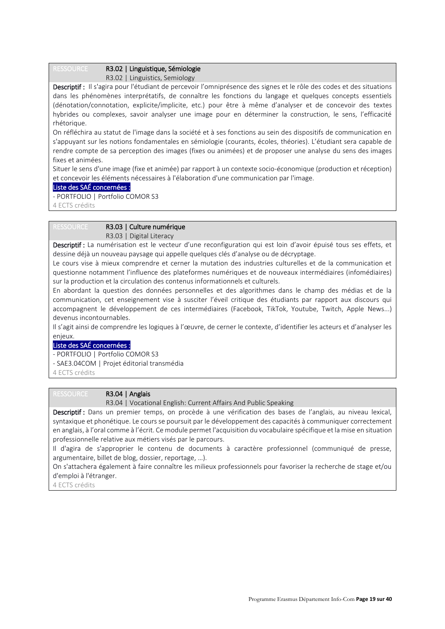# RESSOURCE R3.02 | Linguistique, Sémiologie

R3.02 | Linguistics, Semiology

Descriptif : Il s'agira pour l'étudiant de percevoir l'omniprésence des signes et le rôle des codes et des situations dans les phénomènes interprétatifs, de connaître les fonctions du langage et quelques concepts essentiels (dénotation/connotation, explicite/implicite, etc.) pour être à même d'analyser et de concevoir des textes hybrides ou complexes, savoir analyser une image pour en déterminer la construction, le sens, l'efficacité rhétorique.

On réfléchira au statut de l'image dans la société et à ses fonctions au sein des dispositifs de communication en s'appuyant sur les notions fondamentales en sémiologie (courants, écoles, théories). L'étudiant sera capable de rendre compte de sa perception des images (fixes ou animées) et de proposer une analyse du sens des images fixes et animées.

Situer le sens d'une image (fixe et animée) par rapport à un contexte socio-économique (production et réception) et concevoir les éléments nécessaires à l'élaboration d'une communication par l'image.

### Liste des SAÉ concernées :

- PORTFOLIO | Portfolio COMOR S3

4 ECTS crédits

### RESSOURCE R3.03 | Culture numérique

R3.03 | Digital Literacy

Descriptif : La numérisation est le vecteur d'une reconfiguration qui est loin d'avoir épuisé tous ses effets, et dessine déjà un nouveau paysage qui appelle quelques clés d'analyse ou de décryptage.

Le cours vise à mieux comprendre et cerner la mutation des industries culturelles et de la communication et questionne notamment l'influence des plateformes numériques et de nouveaux intermédiaires (infomédiaires) sur la production et la circulation des contenus informationnels et culturels.

En abordant la question des données personnelles et des algorithmes dans le champ des médias et de la communication, cet enseignement vise à susciter l'éveil critique des étudiants par rapport aux discours qui accompagnent le développement de ces intermédiaires (Facebook, TikTok, Youtube, Twitch, Apple News...) devenus incontournables.

Il s'agit ainsi de comprendre les logiques à l'œuvre, de cerner le contexte, d'identifier les acteurs et d'analyser les enjeux.

### Liste des SAÉ concernées :

- PORTFOLIO | Portfolio COMOR S3
- SAE3.04COM | Projet éditorial transmédia

4 ECTS crédits

### RESSOURCE R3.04 | Anglais

R3.04 | Vocational English: Current Affairs And Public Speaking

Descriptif : Dans un premier temps, on procède à une vérification des bases de l'anglais, au niveau lexical, syntaxique et phonétique. Le cours se poursuit par le développement des capacités à communiquer correctement en anglais, à l'oral comme à l'écrit. Ce module permet l'acquisition du vocabulaire spécifique et la mise en situation professionnelle relative aux métiers visés par le parcours.

Il d'agira de s'approprier le contenu de documents à caractère professionnel (communiqué de presse, argumentaire, billet de blog, dossier, reportage, …).

On s'attachera également à faire connaître les milieux professionnels pour favoriser la recherche de stage et/ou d'emploi à l'étranger.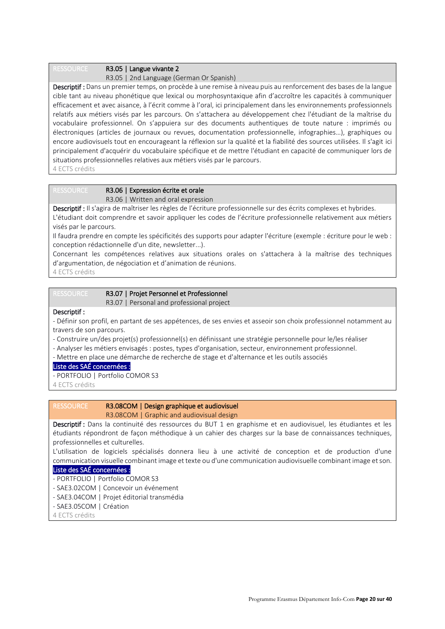### RESSOURCE R3.05 | Langue vivante 2

R3.05 | 2nd Language (German Or Spanish)

Descriptif : Dans un premier temps, on procède à une remise à niveau puis au renforcement des bases de la langue cible tant au niveau phonétique que lexical ou morphosyntaxique afin d'accroître les capacités à communiquer efficacement et avec aisance, à l'écrit comme à l'oral, ici principalement dans les environnements professionnels relatifs aux métiers visés par les parcours. On s'attachera au développement chez l'étudiant de la maîtrise du vocabulaire professionnel. On s'appuiera sur des documents authentiques de toute nature : imprimés ou électroniques (articles de journaux ou revues, documentation professionnelle, infographies…), graphiques ou encore audiovisuels tout en encourageant la réflexion sur la qualité et la fiabilité des sources utilisées. Il s'agit ici principalement d'acquérir du vocabulaire spécifique et de mettre l'étudiant en capacité de communiquer lors de situations professionnelles relatives aux métiers visés par le parcours. 4 ECTS crédits

### RESSOURCE R3.06 | Expression écrite et orale R3.06 | Written and oral expression

Descriptif : Il s'agira de maîtriser les règles de l'écriture professionnelle sur des écrits complexes et hybrides. L'étudiant doit comprendre et savoir appliquer les codes de l'écriture professionnelle relativement aux métiers visés par le parcours.

Il faudra prendre en compte les spécificités des supports pour adapter l'écriture (exemple : écriture pour le web : conception rédactionnelle d'un dite, newsletter...).

Concernant les compétences relatives aux situations orales on s'attachera à la maîtrise des techniques d'argumentation, de négociation et d'animation de réunions.

4 ECTS crédits

| RESSOURCE | R3.07   Projet Personnel et Professionnel |
|-----------|-------------------------------------------|
|           | R3.07   Personal and professional project |

### Descriptif :

- Définir son profil, en partant de ses appétences, de ses envies et asseoir son choix professionnel notamment au travers de son parcours.

- Construire un/des projet(s) professionnel(s) en définissant une stratégie personnelle pour le/les réaliser
- Analyser les métiers envisagés : postes, types d'organisation, secteur, environnement professionnel.
- Mettre en place une démarche de recherche de stage et d'alternance et les outils associés
- Liste des SAÉ concernées :
- PORTFOLIO | Portfolio COMOR S3

4 ECTS crédits

# RESSOURCE R3.08COM | Design graphique et audiovisuel

R3.08COM | Graphic and audiovisual design

Descriptif : Dans la continuité des ressources du BUT 1 en graphisme et en audiovisuel, les étudiantes et les étudiants répondront de façon méthodique à un cahier des charges sur la base de connaissances techniques, professionnelles et culturelles.

L'utilisation de logiciels spécialisés donnera lieu à une activité de conception et de production d'une communication visuelle combinant image et texte ou d'une communication audiovisuelle combinant image et son.

### Liste des SAÉ concernées :

- PORTFOLIO | Portfolio COMOR S3
- SAE3.02COM | Concevoir un événement
- SAE3.04COM | Projet éditorial transmédia
- SAE3.05COM | Création
- 4 ECTS crédits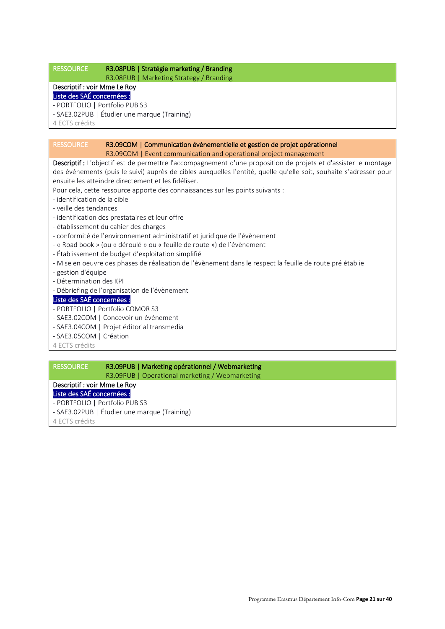# RESSOURCE R3.08PUB | Stratégie marketing / Branding

R3.08PUB | Marketing Strategy / Branding

# Descriptif : voir Mme Le Roy

- Liste des SAÉ concernées :
- PORTFOLIO | Portfolio PUB S3
- SAE3.02PUB | Étudier une marque (Training)

4 ECTS crédits

### RESSOURCE R3.09COM | Communication événementielle et gestion de projet opérationnel

R3.09COM | Event communication and operational project management

Descriptif : L'objectif est de permettre l'accompagnement d'une proposition de projets et d'assister le montage des événements (puis le suivi) auprès de cibles auxquelles l'entité, quelle qu'elle soit, souhaite s'adresser pour ensuite les atteindre directement et les fidéliser.

Pour cela, cette ressource apporte des connaissances sur les points suivants :

- identification de la cible
- veille des tendances
- identification des prestataires et leur offre
- établissement du cahier des charges
- conformité de l'environnement administratif et juridique de l'évènement
- « Road book » (ou « déroulé » ou « feuille de route ») de l'évènement
- Établissement de budget d'exploitation simplifié
- Mise en oeuvre des phases de réalisation de l'évènement dans le respect la feuille de route pré établie
- gestion d'équipe
- Détermination des KPI
- Débriefing de l'organisation de l'évènement

### Liste des SAÉ concernées :

- PORTFOLIO | Portfolio COMOR S3
- SAE3.02COM | Concevoir un événement
- SAE3.04COM | Projet éditorial transmedia
- SAE3.05COM | Création
- 4 ECTS crédits

# RESSOURCE R3.09PUB | Marketing opérationnel / Webmarketing

R3.09PUB | Operational marketing / Webmarketing

# Descriptif : voir Mme Le Roy

- Liste des SAÉ concernées : - PORTFOLIO | Portfolio PUB S3
- SAE3.02PUB | Étudier une marque (Training)
- 4 ECTS crédits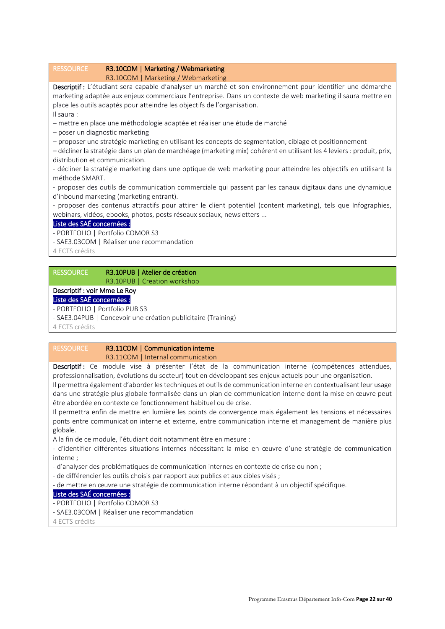# RESSOURCE R3.10COM | Marketing / Webmarketing R3.10COM | Marketing / Webmarketing Descriptif : L'étudiant sera capable d'analyser un marché et son environnement pour identifier une démarche marketing adaptée aux enjeux commerciaux l'entreprise. Dans un contexte de web marketing il saura mettre en place les outils adaptés pour atteindre les objectifs de l'organisation. Il saura : – mettre en place une méthodologie adaptée et réaliser une étude de marché – poser un diagnostic marketing – proposer une stratégie marketing en utilisant les concepts de segmentation, ciblage et positionnement – décliner la stratégie dans un plan de marchéage (marketing mix) cohérent en utilisant les 4 leviers : produit, prix, distribution et communication. - décliner la stratégie marketing dans une optique de web marketing pour atteindre les objectifs en utilisant la méthode SMART. - proposer des outils de communication commerciale qui passent par les canaux digitaux dans une dynamique d'inbound marketing (marketing entrant). - proposer des contenus attractifs pour attirer le client potentiel (content marketing), tels que Infographies, webinars, vidéos, ebooks, photos, posts réseaux sociaux, newsletters ... Liste des SAÉ concernées : - PORTFOLIO | Portfolio COMOR S3 - SAE3.03COM | Réaliser une recommandation 4 ECTS crédits RESSOURCE R3.10PUB | Atelier de création R3.10PUB | Creation workshop

# Descriptif : voir Mme Le Roy

### Liste des SAÉ concernées :

- PORTFOLIO | Portfolio PUB S3

- SAE3.04PUB | Concevoir une création publicitaire (Training)

4 ECTS crédits

# RESSOURCE R3.11COM | Communication interne R3.11COM | Internal communication

Descriptif : Ce module vise à présenter l'état de la communication interne (compétences attendues, professionnalisation, évolutions du secteur) tout en développant ses enjeux actuels pour une organisation. Il permettra également d'aborder les techniques et outils de communication interne en contextualisant leur usage dans une stratégie plus globale formalisée dans un plan de communication interne dont la mise en œuvre peut être abordée en contexte de fonctionnement habituel ou de crise.

Il permettra enfin de mettre en lumière les points de convergence mais également les tensions et nécessaires ponts entre communication interne et externe, entre communication interne et management de manière plus globale.

A la fin de ce module, l'étudiant doit notamment être en mesure :

- d'identifier différentes situations internes nécessitant la mise en œuvre d'une stratégie de communication interne ;

- d'analyser des problématiques de communication internes en contexte de crise ou non ;
- de différencier les outils choisis par rapport aux publics et aux cibles visés ;

- de mettre en œuvre une stratégie de communication interne répondant à un objectif spécifique.

### Liste des SAÉ concernées :

- PORTFOLIO | Portfolio COMOR S3
- SAE3.03COM | Réaliser une recommandation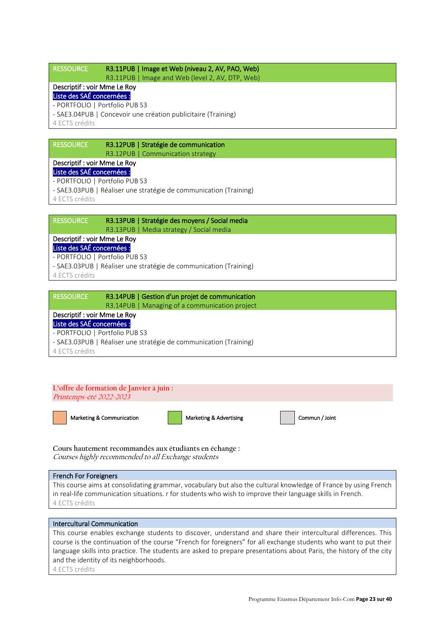# RESSOURCE R3.11PUB | Image et Web (niveau 2, AV, PAO, Web)

R3.11PUB | Image and Web (level 2, AV, DTP, Web)

# Descriptif : voir Mme Le Roy

Liste des SAÉ concernées : - PORTFOLIO | Portfolio PUB S3

- SAE3.04PUB | Concevoir une création publicitaire (Training)

4 ECTS crédits

# RESSOURCE R3.12PUB | Stratégie de communication R3.12PUB | Communication strategy

# Descriptif : voir Mme Le Roy

Liste des SAÉ concernées :

- PORTFOLIO | Portfolio PUB S3
- SAE3.03PUB | Réaliser une stratégie de communication (Training)

4 ECTS crédits

RESSOURCE R3.13PUB | Stratégie des moyens / Social media R3.13PUB | Media strategy / Social media

# Descriptif : voir Mme Le Roy

Liste des SAÉ concernées : - PORTFOLIO | Portfolio PUB S3

- SAE3.03PUB | Réaliser une stratégie de communication (Training)

4 ECTS crédits

| <b>RESSOURCE</b>                                                  | R3.14PUB   Gestion d'un projet de communication |
|-------------------------------------------------------------------|-------------------------------------------------|
|                                                                   | R3.14PUB   Managing of a communication project  |
| Descriptif : voir Mme Le Roy                                      |                                                 |
| Liste des SAÉ concernées :                                        |                                                 |
| - PORTFOLIO   Portfolio PUB S3                                    |                                                 |
| - SAE3.03PUB   Réaliser une stratégie de communication (Training) |                                                 |
| 4 ECTS crédits                                                    |                                                 |

# **L'offre de formation de Janvier à juin :** Printemps-été 2022-2023 Marketing & Communication **Marketing & Advertising Commun / Joint** Commun / Joint

**Cours hautement recommandés aux étudiants en échange :** Courses highly recommended to all Exchange students

# French For Foreigners

This course aims at consolidating grammar, vocabulary but also the cultural knowledge of France by using French in real-life communication situations. r for students who wish to improve their language skills in French. 4 ECTS crédits

### Intercultural Communication

This course enables exchange students to discover, understand and share their intercultural differences. This course is the continuation of the course "French for foreigners" for all exchange students who want to put their language skills into practice. The students are asked to prepare presentations about Paris, the history of the city and the identity of its neighborhoods.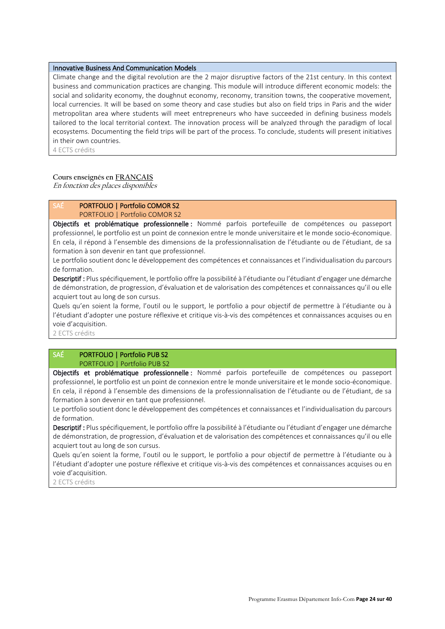### Innovative Business And Communication Models

Climate change and the digital revolution are the 2 major disruptive factors of the 21st century. In this context business and communication practices are changing. This module will introduce different economic models: the social and solidarity economy, the doughnut economy, reconomy, transition towns, the cooperative movement, local currencies. It will be based on some theory and case studies but also on field trips in Paris and the wider metropolitan area where students will meet entrepreneurs who have succeeded in defining business models tailored to the local territorial context. The innovation process will be analyzed through the paradigm of local ecosystems. Documenting the field trips will be part of the process. To conclude, students will present initiatives in their own countries.

4 ECTS crédits

### **Cours enseignés en FRANÇAIS**

En fonction des places disponibles

# SAÉ PORTFOLIO | Portfolio COMOR S2

PORTFOLIO | Portfolio COMOR S2

Objectifs et problématique professionnelle : Nommé parfois portefeuille de compétences ou passeport professionnel, le portfolio est un point de connexion entre le monde universitaire et le monde socio-économique. En cela, il répond à l'ensemble des dimensions de la professionnalisation de l'étudiante ou de l'étudiant, de sa formation à son devenir en tant que professionnel.

Le portfolio soutient donc le développement des compétences et connaissances et l'individualisation du parcours de formation.

Descriptif : Plus spécifiquement, le portfolio offre la possibilité à l'étudiante ou l'étudiant d'engager une démarche de démonstration, de progression, d'évaluation et de valorisation des compétences et connaissances qu'il ou elle acquiert tout au long de son cursus.

Quels qu'en soient la forme, l'outil ou le support, le portfolio a pour objectif de permettre à l'étudiante ou à l'étudiant d'adopter une posture réflexive et critique vis-à-vis des compétences et connaissances acquises ou en voie d'acquisition.

2 ECTS crédits

### SAÉ PORTFOLIO | Portfolio PUB S2 PORTFOLIO | Portfolio PUB S2

Objectifs et problématique professionnelle : Nommé parfois portefeuille de compétences ou passeport professionnel, le portfolio est un point de connexion entre le monde universitaire et le monde socio-économique. En cela, il répond à l'ensemble des dimensions de la professionnalisation de l'étudiante ou de l'étudiant, de sa formation à son devenir en tant que professionnel.

Le portfolio soutient donc le développement des compétences et connaissances et l'individualisation du parcours de formation.

Descriptif : Plus spécifiquement, le portfolio offre la possibilité à l'étudiante ou l'étudiant d'engager une démarche de démonstration, de progression, d'évaluation et de valorisation des compétences et connaissances qu'il ou elle acquiert tout au long de son cursus.

Quels qu'en soient la forme, l'outil ou le support, le portfolio a pour objectif de permettre à l'étudiante ou à l'étudiant d'adopter une posture réflexive et critique vis-à-vis des compétences et connaissances acquises ou en voie d'acquisition.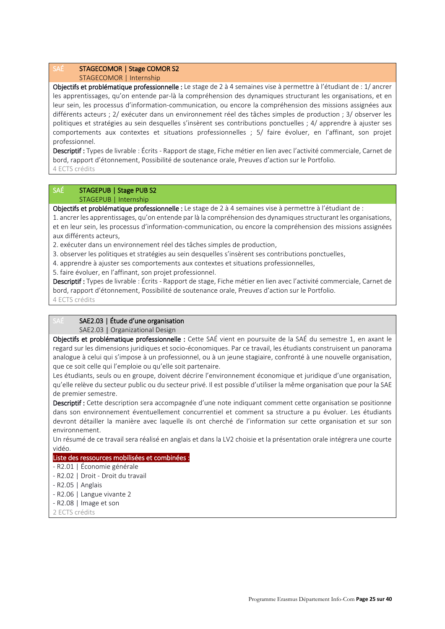# SAÉ STAGECOMOR | Stage COMOR S2

STAGECOMOR | Internship

Objectifs et problématique professionnelle : Le stage de 2 à 4 semaines vise à permettre à l'étudiant de : 1/ ancrer les apprentissages, qu'on entende par-là la compréhension des dynamiques structurant les organisations, et en leur sein, les processus d'information-communication, ou encore la compréhension des missions assignées aux différents acteurs ; 2/ exécuter dans un environnement réel des tâches simples de production ; 3/ observer les politiques et stratégies au sein desquelles s'insèrent ses contributions ponctuelles ; 4/ apprendre à ajuster ses comportements aux contextes et situations professionnelles ; 5/ faire évoluer, en l'affinant, son projet professionnel.

Descriptif : Types de livrable : Écrits - Rapport de stage, Fiche métier en lien avec l'activité commerciale, Carnet de bord, rapport d'étonnement, Possibilité de soutenance orale, Preuves d'action sur le Portfolio. 4 ECTS crédits

# SAÉ STAGEPUB | Stage PUB S2

STAGEPUB | Internship

Objectifs et problématique professionnelle : Le stage de 2 à 4 semaines vise à permettre à l'étudiant de :

1. ancrer les apprentissages, qu'on entende par là la compréhension des dynamiques structurant les organisations, et en leur sein, les processus d'information-communication, ou encore la compréhension des missions assignées aux différents acteurs,

2. exécuter dans un environnement réel des tâches simples de production,

- 3. observer les politiques et stratégies au sein desquelles s'insèrent ses contributions ponctuelles,
- 4. apprendre à ajuster ses comportements aux contextes et situations professionnelles,
- 5. faire évoluer, en l'affinant, son projet professionnel.

Descriptif : Types de livrable : Écrits - Rapport de stage, Fiche métier en lien avec l'activité commerciale, Carnet de bord, rapport d'étonnement, Possibilité de soutenance orale, Preuves d'action sur le Portfolio. 4 ECTS crédits

# SAE 2.03 | Étude d'une organisation

SAE2.03 | Organizational Design

Objectifs et problématique professionnelle : Cette SAÉ vient en poursuite de la SAÉ du semestre 1, en axant le regard sur les dimensions juridiques et socio-économiques. Par ce travail, les étudiants construisent un panorama analogue à celui qui s'impose à un professionnel, ou à un jeune stagiaire, confronté à une nouvelle organisation, que ce soit celle qui l'emploie ou qu'elle soit partenaire.

Les étudiants, seuls ou en groupe, doivent décrire l'environnement économique et juridique d'une organisation, qu'elle relève du secteur public ou du secteur privé. Il est possible d'utiliser la même organisation que pour la SAE de premier semestre.

Descriptif : Cette description sera accompagnée d'une note indiquant comment cette organisation se positionne dans son environnement éventuellement concurrentiel et comment sa structure a pu évoluer. Les étudiants devront détailler la manière avec laquelle ils ont cherché de l'information sur cette organisation et sur son environnement.

Un résumé de ce travail sera réalisé en anglais et dans la LV2 choisie et la présentation orale intégrera une courte vidéo.

# Liste des ressources mobilisées et combinées :

- R2.01 | Économie générale
- R2.02 | Droit Droit du travail
- R2.05 | Anglais
- R2.06 | Langue vivante 2
- R2.08 | Image et son
- 2 ECTS crédits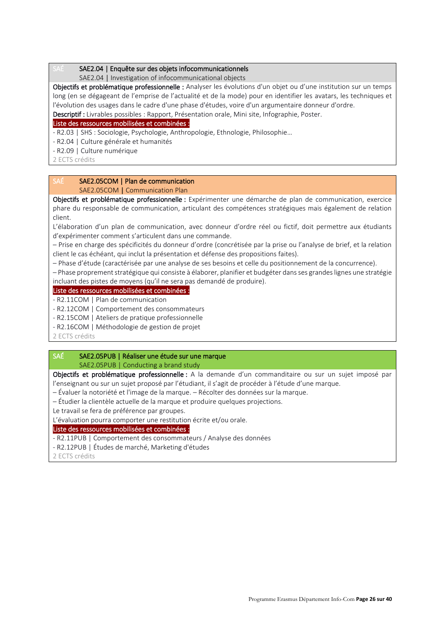### SAE2.04 | Enquête sur des objets infocommunicationnels

SAE2.04 | Investigation of infocommunicational objects

Objectifs et problématique professionnelle : Analyser les évolutions d'un objet ou d'une institution sur un temps long (en se dégageant de l'emprise de l'actualité et de la mode) pour en identifier les avatars, les techniques et l'évolution des usages dans le cadre d'une phase d'études, voire d'un argumentaire donneur d'ordre. Descriptif : Livrables possibles : Rapport, Présentation orale, Mini site, Infographie, Poster.

### Liste des ressources mobilisées et combinées :

- R2.03 | SHS : Sociologie, Psychologie, Anthropologie, Ethnologie, Philosophie…

- R2.04 | Culture générale et humanités

- R2.09 | Culture numérique

2 ECTS crédits

### SAÉ SAE2.05COM | Plan de communication SAE2.05COM | Communication Plan

Objectifs et problématique professionnelle : Expérimenter une démarche de plan de communication, exercice phare du responsable de communication, articulant des compétences stratégiques mais également de relation client.

L'élaboration d'un plan de communication, avec donneur d'ordre réel ou fictif, doit permettre aux étudiants d'expérimenter comment s'articulent dans une commande.

– Prise en charge des spécificités du donneur d'ordre (concrétisée par la prise ou l'analyse de brief, et la relation client le cas échéant, qui inclut la présentation et défense des propositions faites).

– Phase d'étude (caractérisée par une analyse de ses besoins et celle du positionnement de la concurrence).

– Phase proprement stratégique qui consiste à élaborer, planifier et budgéter dans ses grandes lignes une stratégie incluant des pistes de moyens (qu'il ne sera pas demandé de produire).

### Liste des ressources mobilisées et combinées :

- R2.11COM | Plan de communication

- R2.12COM | Comportement des consommateurs

- R2.15COM | Ateliers de pratique professionnelle

- R2.16COM | Méthodologie de gestion de projet

2 ECTS crédits

### SAÉ SAE2.05PUB | Réaliser une étude sur une marque SAE2.05PUB | Conducting a brand study

Objectifs et problématique professionnelle : A la demande d'un commanditaire ou sur un sujet imposé par l'enseignant ou sur un sujet proposé par l'étudiant, il s'agit de procéder à l'étude d'une marque.

– Évaluer la notoriété et l'image de la marque. – Récolter des données sur la marque.

– Étudier la clientèle actuelle de la marque et produire quelques projections.

Le travail se fera de préférence par groupes.

L'évaluation pourra comporter une restitution écrite et/ou orale.

### Liste des ressources mobilisées et combinées :

- R2.11PUB | Comportement des consommateurs / Analyse des données

- R2.12PUB | Études de marché, Marketing d'études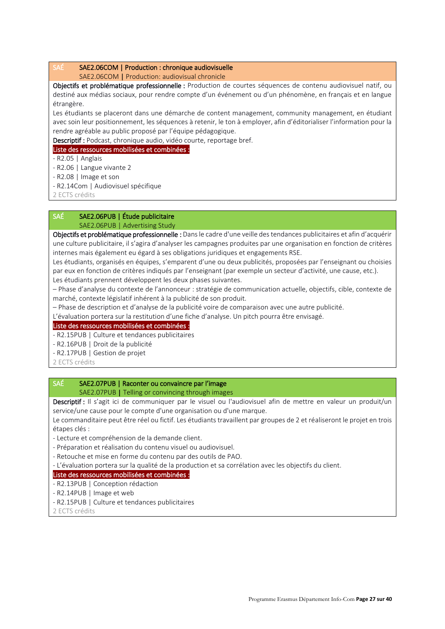### SAÉ SAE2.06COM | Production : chronique audiovisuelle

SAE2.06COM | Production: audiovisual chronicle

Objectifs et problématique professionnelle : Production de courtes séquences de contenu audiovisuel natif, ou destiné aux médias sociaux, pour rendre compte d'un événement ou d'un phénomène, en français et en langue étrangère.

Les étudiants se placeront dans une démarche de content management, community management, en étudiant avec soin leur positionnement, les séquences à retenir, le ton à employer, afin d'éditorialiser l'information pour la rendre agréable au public proposé par l'équipe pédagogique.

Descriptif : Podcast, chronique audio, vidéo courte, reportage bref.

### Liste des ressources mobilisées et combinées :

- R2.05 | Anglais
- R2.06 | Langue vivante 2
- R2.08 | Image et son
- R2.14Com | Audiovisuel spécifique
- 2 ECTS crédits

### SAÉ SAE2.06PUB | Étude publicitaire SAE2.06PUB | Advertising Study

Objectifs et problématique professionnelle : Dans le cadre d'une veille des tendances publicitaires et afin d'acquérir une culture publicitaire, il s'agira d'analyser les campagnes produites par une organisation en fonction de critères internes mais également eu égard à ses obligations juridiques et engagements RSE.

Les étudiants, organisés en équipes, s'emparent d'une ou deux publicités, proposées par l'enseignant ou choisies par eux en fonction de critères indiqués par l'enseignant (par exemple un secteur d'activité, une cause, etc.). Les étudiants prennent développent les deux phases suivantes.

– Phase d'analyse du contexte de l'annonceur : stratégie de communication actuelle, objectifs, cible, contexte de marché, contexte législatif inhérent à la publicité de son produit.

– Phase de description et d'analyse de la publicité voire de comparaison avec une autre publicité.

L'évaluation portera sur la restitution d'une fiche d'analyse. Un pitch pourra être envisagé.

### Liste des ressources mobilisées et combinées :

- R2.15PUB | Culture et tendances publicitaires

- R2.16PUB | Droit de la publicité

- R2.17PUB | Gestion de projet

2 ECTS crédits

### SAÉ SAE2.07PUB | Raconter ou convaincre par l'image

SAE2.07PUB | Telling or convincing through images

Descriptif : Il s'agit ici de communiquer par le visuel ou l'audiovisuel afin de mettre en valeur un produit/un service/une cause pour le compte d'une organisation ou d'une marque.

Le commanditaire peut être réel ou fictif. Les étudiants travaillent par groupes de 2 et réaliseront le projet en trois étapes clés :

- Lecture et compréhension de la demande client.

- Préparation et réalisation du contenu visuel ou audiovisuel.
- Retouche et mise en forme du contenu par des outils de PAO.

- L'évaluation portera sur la qualité de la production et sa corrélation avec les objectifs du client.

### Liste des ressources mobilisées et combinées :

- R2.13PUB | Conception rédaction
- R2.14PUB | Image et web
- R2.15PUB | Culture et tendances publicitaires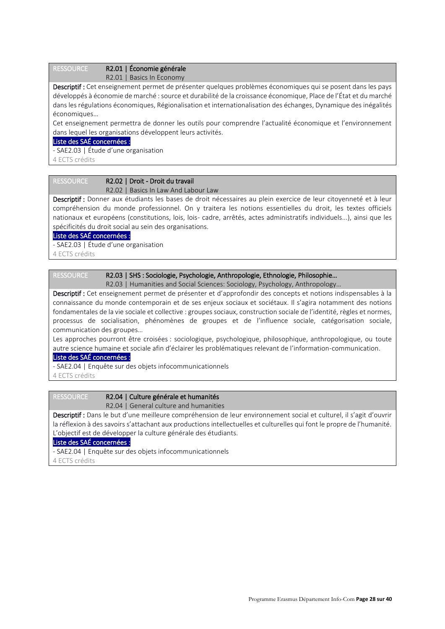### RESSOURCE R2

| 2.01   Economie générale |  |
|--------------------------|--|
|                          |  |

R2.01 | Basics In Economy

Descriptif : Cet enseignement permet de présenter quelques problèmes économiques qui se posent dans les pays développés à économie de marché : source et durabilité de la croissance économique, Place de l'État et du marché dans les régulations économiques, Régionalisation et internationalisation des échanges, Dynamique des inégalités économiques…

Cet enseignement permettra de donner les outils pour comprendre l'actualité économique et l'environnement dans lequel les organisations développent leurs activités.

### Liste des SAÉ concernées :

- SAE2.03 | Étude d'une organisation

4 ECTS crédits

# RESSOURCE R2.02 | Droit - Droit du travail

R2.02 | Basics In Law And Labour Law

Descriptif : Donner aux étudiants les bases de droit nécessaires au plein exercice de leur citoyenneté et à leur compréhension du monde professionnel. On y traitera les notions essentielles du droit, les textes officiels nationaux et européens (constitutions, lois, lois- cadre, arrêtés, actes administratifs individuels...), ainsi que les spécificités du droit social au sein des organisations.

Liste des SAÉ concernées :

- SAE2.03 | Étude d'une organisation

4 ECTS crédits

| <b>RESSOURCE</b> | R2.03   SHS : Sociologie, Psychologie, Anthropologie, Ethnologie, Philosophie |
|------------------|-------------------------------------------------------------------------------|
|                  | R2.03   Humanities and Social Sciences: Sociology, Psychology, Anthropology   |

Descriptif : Cet enseignement permet de présenter et d'approfondir des concepts et notions indispensables à la connaissance du monde contemporain et de ses enjeux sociaux et sociétaux. Il s'agira notamment des notions fondamentales de la vie sociale et collective : groupes sociaux, construction sociale de l'identité, règles et normes, processus de socialisation, phénomènes de groupes et de l'influence sociale, catégorisation sociale, communication des groupes…

Les approches pourront être croisées : sociologique, psychologique, philosophique, anthropologique, ou toute autre science humaine et sociale afin d'éclairer les problématiques relevant de l'information-communication.

### Liste des SAÉ concernées :

- SAE2.04 | Enquête sur des objets infocommunicationnels

4 ECTS crédits

RESSOURCE R2.04 | Culture générale et humanités

R2.04 | General culture and humanities

Descriptif : Dans le but d'une meilleure compréhension de leur environnement social et culturel, il s'agit d'ouvrir la réflexion à des savoirs s'attachant aux productions intellectuelles et culturelles qui font le propre de l'humanité. L'objectif est de développer la culture générale des étudiants.

Liste des SAÉ concernées :

- SAE2.04 | Enquête sur des objets infocommunicationnels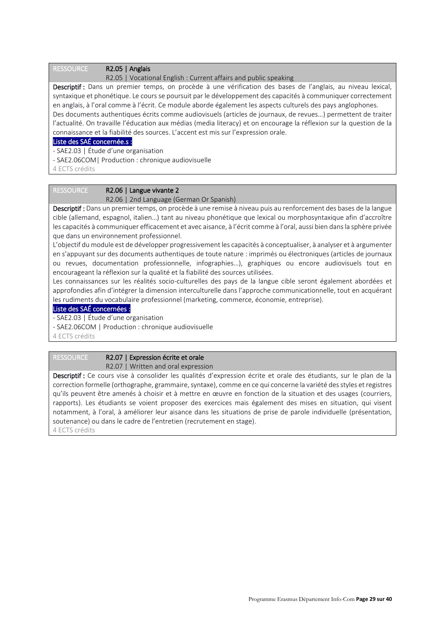### RESSOURCE R2.05 | Anglais

R2.05 | Vocational English : Current affairs and public speaking

Descriptif : Dans un premier temps, on procède à une vérification des bases de l'anglais, au niveau lexical, syntaxique et phonétique. Le cours se poursuit par le développement des capacités à communiquer correctement en anglais, à l'oral comme à l'écrit. Ce module aborde également les aspects culturels des pays anglophones. Des documents authentiques écrits comme audiovisuels (articles de journaux, de revues…) permettent de traiter l'actualité. On travaille l'éducation aux médias (media literacy) et on encourage la réflexion sur la question de la connaissance et la fiabilité des sources. L'accent est mis sur l'expression orale.

### Liste des SAÉ concernée.s :

- SAE2.03 | Étude d'une organisation

- SAE2.06COM| Production : chronique audiovisuelle

4 ECTS crédits

# RESSOURCE R2.06 | Langue vivante 2

R2.06 | 2nd Language (German Or Spanish)

Descriptif : Dans un premier temps, on procède à une remise à niveau puis au renforcement des bases de la langue cible (allemand, espagnol, italien…) tant au niveau phonétique que lexical ou morphosyntaxique afin d'accroître les capacités à communiquer efficacement et avec aisance, à l'écrit comme à l'oral, aussi bien dans la sphère privée que dans un environnement professionnel.

L'objectif du module est de développer progressivement les capacités à conceptualiser, à analyser et à argumenter en s'appuyant sur des documents authentiques de toute nature : imprimés ou électroniques (articles de journaux ou revues, documentation professionnelle, infographies…), graphiques ou encore audiovisuels tout en encourageant la réflexion sur la qualité et la fiabilité des sources utilisées.

Les connaissances sur les réalités socio-culturelles des pays de la langue cible seront également abordées et approfondies afin d'intégrer la dimension interculturelle dans l'approche communicationnelle, tout en acquérant les rudiments du vocabulaire professionnel (marketing, commerce, économie, entreprise).

### Liste des SAÉ concernées :

- SAE2.03 | Étude d'une organisation

- SAE2.06COM | Production : chronique audiovisuelle

4 ECTS crédits

### RESSOURCE R2.07 | Expression écrite et orale

R2.07 | Written and oral expression

Descriptif : Ce cours vise à consolider les qualités d'expression écrite et orale des étudiants, sur le plan de la correction formelle (orthographe, grammaire, syntaxe), comme en ce qui concerne la variété des styles et registres qu'ils peuvent être amenés à choisir et à mettre en œuvre en fonction de la situation et des usages (courriers, rapports). Les étudiants se voient proposer des exercices mais également des mises en situation, qui visent notamment, à l'oral, à améliorer leur aisance dans les situations de prise de parole individuelle (présentation, soutenance) ou dans le cadre de l'entretien (recrutement en stage). 4 ECTS crédits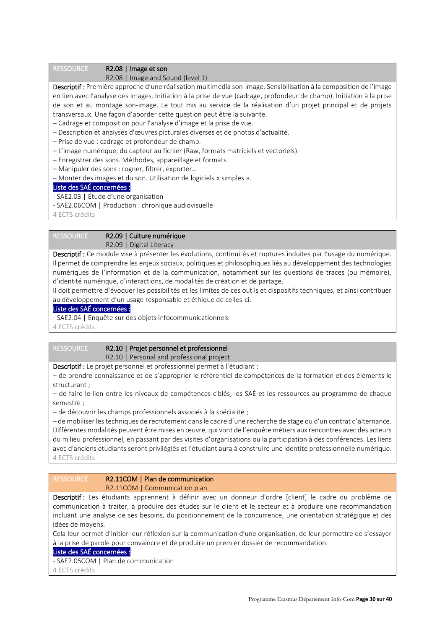### RESSOURCE R2.08 | Image et son

R2.08 | Image and Sound (level 1)

Descriptif : Première approche d'une réalisation multimédia son-image. Sensibilisation à la composition de l'image en lien avec l'analyse des images. Initiation à la prise de vue (cadrage, profondeur de champ). Initiation à la prise de son et au montage son-image. Le tout mis au service de la réalisation d'un projet principal et de projets transversaux. Une façon d'aborder cette question peut être la suivante.

– Cadrage et composition pour l'analyse d'image et la prise de vue.

- Description et analyses d'œuvres picturales diverses et de photos d'actualité.
- Prise de vue : cadrage et profondeur de champ.
- L'image numérique, du capteur au fichier (Raw, formats matriciels et vectoriels).
- Enregistrer des sons. Méthodes, appareillage et formats.
- Manipuler des sons : rogner, filtrer, exporter…

– Monter des images et du son. Utilisation de logiciels « simples ».

### Liste des SAÉ concernées :

- SAE2.03 | Étude d'une organisation
- SAE2.06COM | Production : chronique audiovisuelle

4 ECTS crédits

### RESSOURCE R2.09 | Culture numérique

R2.09 | Digital Literacy

Descriptif : Ce module vise à présenter les évolutions, continuités et ruptures induites par l'usage du numérique. Il permet de comprendre les enjeux sociaux, politiques et philosophiques liés au développement des technologies numériques de l'information et de la communication, notamment sur les questions de traces (ou mémoire), d'identité numérique, d'interactions, de modalités de création et de partage.

Il doit permettre d'évoquer les possibilités et les limites de ces outils et dispositifs techniques, et ainsi contribuer au développement d'un usage responsable et éthique de celles-ci.

### Liste des SAÉ concernées :

- SAE2.04 | Enquête sur des objets infocommunicationnels

4 ECTS crédits

### RESSOURCE R2.10 | Projet personnel et professionnel R2.10 | Personal and professional project

Descriptif : Le projet personnel et professionnel permet à l'étudiant :

– de prendre connaissance et de s'approprier le référentiel de compétences de la formation et des éléments le structurant ;

– de faire le lien entre les niveaux de compétences ciblés, les SAÉ et les ressources au programme de chaque semestre ;

– de découvrir les champs professionnels associés à la spécialité ;

– de mobiliser les techniques de recrutement dans le cadre d'une recherche de stage ou d'un contrat d'alternance. Différentes modalités peuvent être mises en œuvre, qui vont de l'enquête métiers aux rencontres avec des acteurs du milieu professionnel, en passant par des visites d'organisations ou la participation à des conférences. Les liens avec d'anciens étudiants seront privilégiés et l'étudiant aura à construire une identité professionnelle numérique. 4 ECTS crédits

### RESSOURCE R2.11COM | Plan de communication R2.11COM | Communication plan

Descriptif : Les étudiants apprennent à définir avec un donneur d'ordre [client] le cadre du problème de communication à traiter, à produire des études sur le client et le secteur et à produire une recommandation incluant une analyse de ses besoins, du positionnement de la concurrence, une orientation stratégique et des idées de moyens.

Cela leur permet d'initier leur réflexion sur la communication d'une organisation, de leur permettre de s'essayer à la prise de parole pour convaincre et de produire un premier dossier de recommandation.

### Liste des SAÉ concernées :

- SAE2.05COM | Plan de communication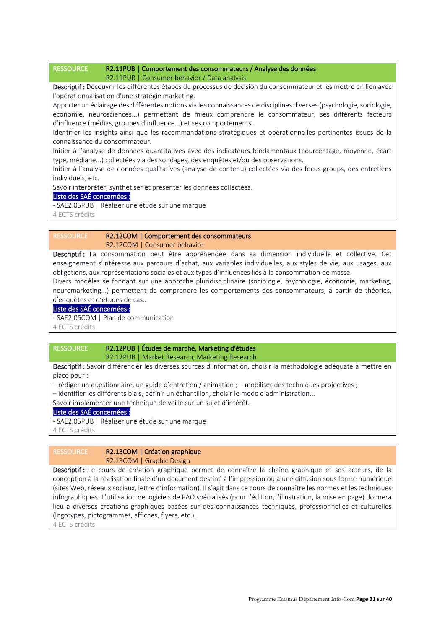### RESSOURCE R2.11PUB | Comportement des consommateurs / Analyse des données R2.11PUB | Consumer behavior / Data analysis

Descriptif : Découvrir les différentes étapes du processus de décision du consommateur et les mettre en lien avec l'opérationnalisation d'une stratégie marketing.

Apporter un éclairage des différentes notions via les connaissances de disciplines diverses (psychologie, sociologie, économie, neurosciences...) permettant de mieux comprendre le consommateur, ses différents facteurs d'influence (médias, groupes d'influence...) et ses comportements.

Identifier les insights ainsi que les recommandations stratégiques et opérationnelles pertinentes issues de la connaissance du consommateur.

Initier à l'analyse de données quantitatives avec des indicateurs fondamentaux (pourcentage, moyenne, écart type, médiane...) collectées via des sondages, des enquêtes et/ou des observations.

Initier à l'analyse de données qualitatives (analyse de contenu) collectées via des focus groups, des entretiens individuels, etc.

Savoir interpréter, synthétiser et présenter les données collectées.

### Liste des SAÉ concernées :

- SAE2.05PUB | Réaliser une étude sur une marque

4 ECTS crédits

### RESSOURCE R2.12COM | Comportement des consommateurs R2.12COM | Consumer behavior

Descriptif : La consommation peut être appréhendée dans sa dimension individuelle et collective. Cet enseignement s'intéresse aux parcours d'achat, aux variables individuelles, aux styles de vie, aux usages, aux obligations, aux représentations sociales et aux types d'influences liés à la consommation de masse.

Divers modèles se fondant sur une approche pluridisciplinaire (sociologie, psychologie, économie, marketing, neuromarketing...) permettent de comprendre les comportements des consommateurs, à partir de théories, d'enquêtes et d'études de cas…

# Liste des SAÉ concernées :

- SAE2.05COM | Plan de communication

4 ECTS crédits

### RESSOURCE R2.12PUB | Études de marché, Marketing d'études R2.12PUB | Market Research, Marketing Research

Descriptif : Savoir différencier les diverses sources d'information, choisir la méthodologie adéquate à mettre en place pour :

– rédiger un questionnaire, un guide d'entretien / animation ; – mobiliser des techniques projectives ;

– identifier les différents biais, définir un échantillon, choisir le mode d'administration...

Savoir implémenter une technique de veille sur un sujet d'intérêt.

### Liste des SAÉ concernées :

- SAE2.05PUB | Réaliser une étude sur une marque

4 ECTS crédits

# RESSOURCE R2.13COM | Création graphique

R2.13COM | Graphic Design

Descriptif : Le cours de création graphique permet de connaître la chaîne graphique et ses acteurs, de la conception à la réalisation finale d'un document destiné à l'impression ou à une diffusion sous forme numérique (sites Web, réseaux sociaux, lettre d'information). Il s'agit dans ce cours de connaître les normes et les techniques infographiques. L'utilisation de logiciels de PAO spécialisés (pour l'édition, l'illustration, la mise en page) donnera lieu à diverses créations graphiques basées sur des connaissances techniques, professionnelles et culturelles (logotypes, pictogrammes, affiches, flyers, etc.).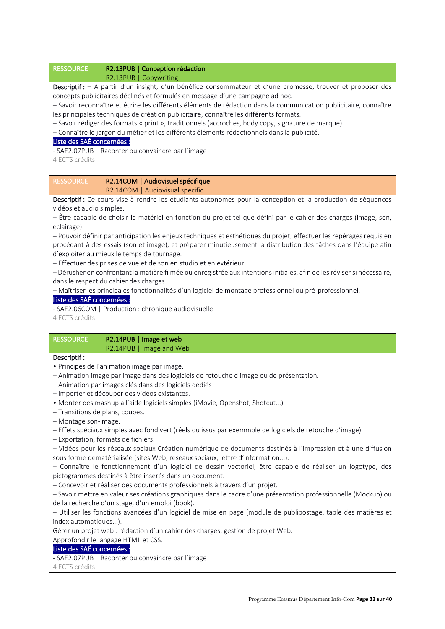### RESSOURCE R2.13PUB | Conception rédaction R2.13PUB | Copywriting

Descriptif : - A partir d'un insight, d'un bénéfice consommateur et d'une promesse, trouver et proposer des concepts publicitaires déclinés et formulés en message d'une campagne ad hoc.

– Savoir reconnaître et écrire les différents éléments de rédaction dans la communication publicitaire, connaître les principales techniques de création publicitaire, connaître les différents formats.

– Savoir rédiger des formats « print », traditionnels (accroches, body copy, signature de marque).

– Connaître le jargon du métier et les différents éléments rédactionnels dans la publicité.

### Liste des SAÉ concernées :

- SAE2.07PUB | Raconter ou convaincre par l'image

4 ECTS crédits

## RESSOURCE R2.14COM | Audiovisuel spécifique R2.14COM | Audiovisual specific

Descriptif : Ce cours vise à rendre les étudiants autonomes pour la conception et la production de séquences vidéos et audio simples.

– Être capable de choisir le matériel en fonction du projet tel que défini par le cahier des charges (image, son, éclairage).

– Pouvoir définir par anticipation les enjeux techniques et esthétiques du projet, effectuer les repérages requis en procédant à des essais (son et image), et préparer minutieusement la distribution des tâches dans l'équipe afin d'exploiter au mieux le temps de tournage.

– Effectuer des prises de vue et de son en studio et en extérieur.

– Dérusher en confrontant la matière filmée ou enregistrée aux intentions initiales, afin de les réviser si nécessaire, dans le respect du cahier des charges.

– Maîtriser les principales fonctionnalités d'un logiciel de montage professionnel ou pré-professionnel.

### Liste des SAÉ concernées :

- SAE2.06COM | Production : chronique audiovisuelle

4 ECTS crédits

### RESSOURCE R2.14PUB | Image et web R2.14PUB | Image and Web

### Descriptif :

- Principes de l'animation image par image.
- Animation image par image dans des logiciels de retouche d'image ou de présentation.
- Animation par images clés dans des logiciels dédiés
- Importer et découper des vidéos existantes.
- Monter des mashup à l'aide logiciels simples (iMovie, Openshot, Shotcut...) :
- Transitions de plans, coupes.
- Montage son-image.
- Effets spéciaux simples avec fond vert (réels ou issus par exemmple de logiciels de retouche d'image).
- Exportation, formats de fichiers.
- Vidéos pour les réseaux sociaux Création numérique de documents destinés à l'impression et à une diffusion sous forme dématérialisée (sites Web, réseaux sociaux, lettre d'information...).

– Connaître le fonctionnement d'un logiciel de dessin vectoriel, être capable de réaliser un logotype, des pictogrammes destinés à être insérés dans un document.

– Concevoir et réaliser des documents professionnels à travers d'un projet.

– Savoir mettre en valeur ses créations graphiques dans le cadre d'une présentation professionnelle (Mockup) ou de la recherche d'un stage, d'un emploi (book).

– Utiliser les fonctions avancées d'un logiciel de mise en page (module de publipostage, table des matières et index automatiques...).

Gérer un projet web : rédaction d'un cahier des charges, gestion de projet Web.

Approfondir le langage HTML et CSS.

### Liste des SAÉ concernées :

- SAE2.07PUB | Raconter ou convaincre par l'image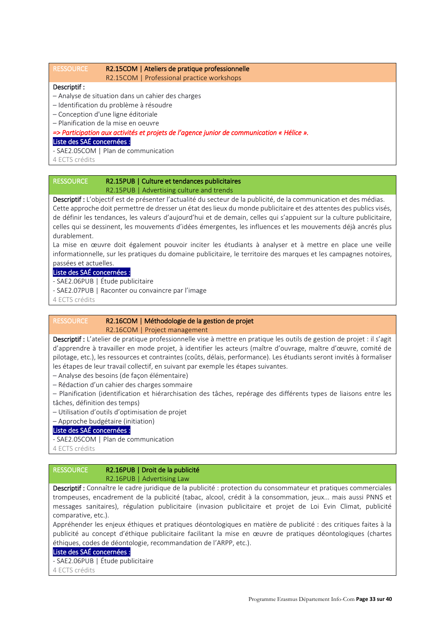# RESSOURCE R2.15COM | Ateliers de pratique professionnelle

#### R2.15COM | Professional practice workshops

### Descriptif :

- Analyse de situation dans un cahier des charges
- Identification du problème à résoudre
- Conception d'une ligne éditoriale
- Planification de la mise en oeuvre

*=> Participation aux activités et projets de l'agence junior de communication « Hélice ».*  Liste des SAÉ concernées :

- SAE2.05COM | Plan de communication

4 ECTS crédits

## RESSOURCE R2.15PUB | Culture et tendances publicitaires R2.15PUB | Advertising culture and trends

Descriptif : L'objectif est de présenter l'actualité du secteur de la publicité, de la communication et des médias. Cette approche doit permettre de dresser un état des lieux du monde publicitaire et des attentes des publics visés, de définir les tendances, les valeurs d'aujourd'hui et de demain, celles qui s'appuient sur la culture publicitaire, celles qui se dessinent, les mouvements d'idées émergentes, les influences et les mouvements déjà ancrés plus durablement.

La mise en œuvre doit également pouvoir inciter les étudiants à analyser et à mettre en place une veille informationnelle, sur les pratiques du domaine publicitaire, le territoire des marques et les campagnes notoires, passées et actuelles.

# Liste des SAÉ concernées :

- SAE2.06PUB | Étude publicitaire

- SAE2.07PUB | Raconter ou convaincre par l'image
- 4 ECTS crédits

### RESSOURCE R2.16COM | Méthodologie de la gestion de projet R2.16COM | Project management

Descriptif : L'atelier de pratique professionnelle vise à mettre en pratique les outils de gestion de projet : il s'agit d'apprendre à travailler en mode projet, à identifier les acteurs (maître d'ouvrage, maître d'œuvre, comité de pilotage, etc.), les ressources et contraintes (coûts, délais, performance). Les étudiants seront invités à formaliser les étapes de leur travail collectif, en suivant par exemple les étapes suivantes.

- Analyse des besoins (de façon élémentaire)
- Rédaction d'un cahier des charges sommaire
- Planification (identification et hiérarchisation des tâches, repérage des différents types de liaisons entre les
- tâches, définition des temps)
- Utilisation d'outils d'optimisation de projet

– Approche budgétaire (initiation)

# Liste des SAÉ concernées :

- SAE2.05COM | Plan de communication

4 ECTS crédits

### RESSOURCE R2.16PUB | Droit de la publicité R2.16PUB | Advertising Law

Descriptif : Connaître le cadre juridique de la publicité : protection du consommateur et pratiques commerciales trompeuses, encadrement de la publicité (tabac, alcool, crédit à la consommation, jeux... mais aussi PNNS et messages sanitaires), régulation publicitaire (invasion publicitaire et projet de Loi Evin Climat, publicité comparative, etc.).

Appréhender les enjeux éthiques et pratiques déontologiques en matière de publicité : des critiques faites à la publicité au concept d'éthique publicitaire facilitant la mise en œuvre de pratiques déontologiques (chartes éthiques, codes de déontologie, recommandation de l'ARPP, etc.).

#### Liste des SAÉ concernées :

- SAE2.06PUB | Étude publicitaire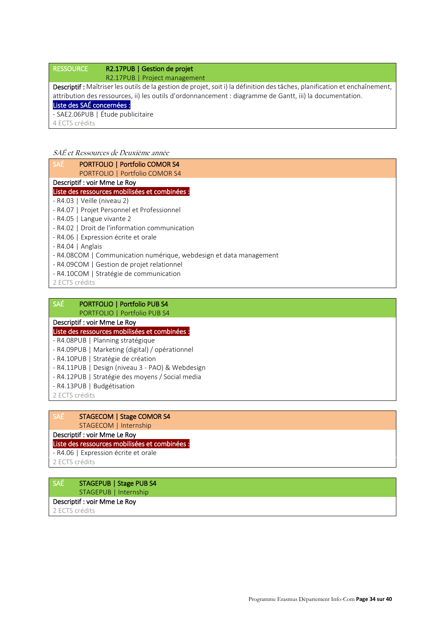# RESSOURCE R2.17PUB | Gestion de projet R2.17PUB | Project management Descriptif : Maîtriser les outils de la gestion de projet, soit i) la définition des tâches, planification et enchaînement, attribution des ressources, ii) les outils d'ordonnancement : diagramme de Gantt, iii) la documentation. Liste des SAÉ concernées : - SAE2.06PUB | Étude publicitaire 4 ECTS crédits

# SAÉ et Ressources de Deuxième année

| <b>SAÉ</b><br><b>PORTFOLIO   Portfolio COMOR S4</b>                |
|--------------------------------------------------------------------|
| PORTFOLIO   Portfolio COMOR S4                                     |
| Descriptif: voir Mme Le Roy                                        |
| Liste des ressources mobilisées et combinées :                     |
| - R4.03   Veille (niveau 2)                                        |
| - R4.07   Projet Personnel et Professionnel                        |
| - R4.05   Langue vivante 2                                         |
| - R4.02   Droit de l'information communication                     |
| - R4.06   Expression écrite et orale                               |
| $-R4.04$   Anglais                                                 |
| - R4.08COM   Communication numérique, webdesign et data management |
| - R4.09COM   Gestion de projet relationnel                         |
| - R4.10COM   Stratégie de communication                            |
| 2 ECTS crédits                                                     |

| <b>SAÉ</b><br>PORTFOLIO   Portfolio PUB S4       |
|--------------------------------------------------|
| PORTFOLIO   Portfolio PUB S4                     |
| Descriptif : voir Mme Le Roy                     |
| Liste des ressources mobilisées et combinées :   |
| - R4.08PUB   Planning stratégique                |
| - R4.09PUB   Marketing (digital) / opérationnel  |
| - R4.10PUB   Stratégie de création               |
| - R4.11PUB   Design (niveau 3 - PAO) & Webdesign |
| - R4.12PUB   Stratégie des moyens / Social media |
| - R4.13PUB   Budgétisation                       |
|                                                  |

2 ECTS crédits

| <b>JAL</b> |                       | STAGECOM   Stage COMOR S4 |
|------------|-----------------------|---------------------------|
|            | STAGECOM   Internship |                           |

Descriptif : voir Mme Le Roy

# Liste des ressources mobilisées et combinées :

### - R4.06 | Expression écrite et orale

2 ECTS crédits

| <b>SAÉ</b> |                       | STAGEPUB   Stage PUB S4 |
|------------|-----------------------|-------------------------|
|            | STAGEPUB   Internship |                         |
|            |                       |                         |

# Descriptif : voir Mme Le Roy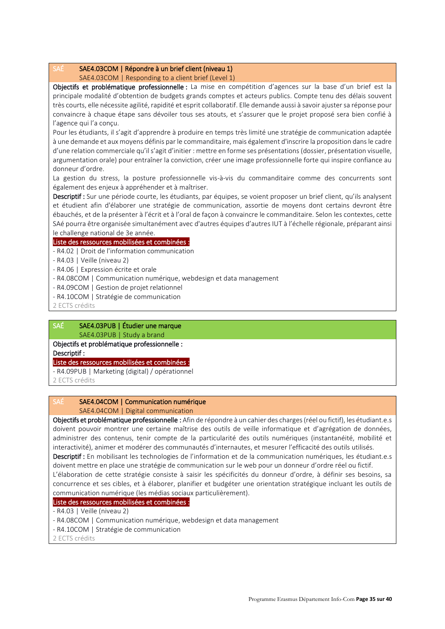### SAÉ SAE4.03COM | Répondre à un brief client (niveau 1)

SAE4.03COM | Responding to a client brief (Level 1)

Objectifs et problématique professionnelle : La mise en compétition d'agences sur la base d'un brief est la principale modalité d'obtention de budgets grands comptes et acteurs publics. Compte tenu des délais souvent très courts, elle nécessite agilité, rapidité et esprit collaboratif. Elle demande aussi à savoir ajuster sa réponse pour convaincre à chaque étape sans dévoiler tous ses atouts, et s'assurer que le projet proposé sera bien confié à l'agence qui l'a conçu.

Pour les étudiants, il s'agit d'apprendre à produire en temps très limité une stratégie de communication adaptée à une demande et aux moyens définis par le commanditaire, mais également d'inscrire la proposition dans le cadre d'une relation commerciale qu'il s'agit d'initier : mettre en forme ses présentations (dossier, présentation visuelle, argumentation orale) pour entraîner la conviction, créer une image professionnelle forte qui inspire confiance au donneur d'ordre.

La gestion du stress, la posture professionnelle vis-à-vis du commanditaire comme des concurrents sont également des enjeux à appréhender et à maîtriser.

Descriptif : Sur une période courte, les étudiants, par équipes, se voient proposer un brief client, qu'ils analysent et étudient afin d'élaborer une stratégie de communication, assortie de moyens dont certains devront être ébauchés, et de la présenter à l'écrit et à l'oral de façon à convaincre le commanditaire. Selon les contextes, cette SAé pourra être organisée simultanément avec d'autres équipes d'autres IUT à l'échelle régionale, préparant ainsi le challenge national de 3e année.

### Liste des ressources mobilisées et combinées :

- R4.02 | Droit de l'information communication
- R4.03 | Veille (niveau 2)
- R4.06 | Expression écrite et orale
- R4.08COM | Communication numérique, webdesign et data management
- R4.09COM | Gestion de projet relationnel
- R4.10COM | Stratégie de communication

2 ECTS crédits

### SAÉ SAE4.03PUB | Étudier une marque SAE4.03PUB | Study a brand

# Objectifs et problématique professionnelle :

Descriptif :

### Liste des ressources mobilisées et combinées :

- R4.09PUB | Marketing (digital) / opérationnel

2 ECTS crédits

# SAÉ SAE4.04COM | Communication numérique

### SAE4.04COM | Digital communication

Objectifs et problématique professionnelle : Afin de répondre à un cahier des charges (réel ou fictif), les étudiant.e.s doivent pouvoir montrer une certaine maîtrise des outils de veille informatique et d'agrégation de données, administrer des contenus, tenir compte de la particularité des outils numériques (instantanéité, mobilité et interactivité), animer et modérer des communautés d'internautes, et mesurer l'efficacité des outils utilisés. Descriptif : En mobilisant les technologies de l'information et de la communication numériques, les étudiant.e.s

doivent mettre en place une stratégie de communication sur le web pour un donneur d'ordre réel ou fictif. L'élaboration de cette stratégie consiste à saisir les spécificités du donneur d'ordre, à définir ses besoins, sa concurrence et ses cibles, et à élaborer, planifier et budgéter une orientation stratégique incluant les outils de communication numérique (les médias sociaux particulièrement).

# Liste des ressources mobilisées et combinées :

- R4.03 | Veille (niveau 2)
- R4.08COM | Communication numérique, webdesign et data management
- R4.10COM | Stratégie de communication
- 2 ECTS crédits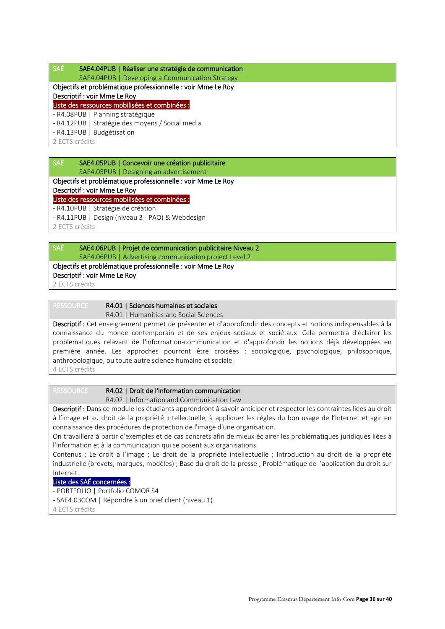### SAÉ SAE4.04PUB | Réaliser une stratégie de communication

SAE4.04PUB | Developing a Communication Strategy

# Objectifs et problématique professionnelle : voir Mme Le Roy

Descriptif : voir Mme Le Roy

# Liste des ressources mobilisées et combinées :

- R4.08PUB | Planning stratégique

- R4.12PUB | Stratégie des moyens / Social media

- R4.13PUB | Budgétisation

2 ECTS crédits

### SAÉ SAE4.05PUB | Concevoir une création publicitaire SAE4.05PUB | Designing an advertisement

Objectifs et problématique professionnelle : voir Mme Le Roy

### Descriptif : voir Mme Le Roy

Liste des ressources mobilisées et combinées :

- R4.10PUB | Stratégie de création

- R4.11PUB | Design (niveau 3 - PAO) & Webdesign

2 ECTS crédits

# SAÉ SAE4.06PUB | Projet de communication publicitaire Niveau 2 SAE4.06PUB | Advertising communication project Level 2

Objectifs et problématique professionnelle : voir Mme Le Roy

Descriptif : voir Mme Le Roy

2 ECTS crédits

# RESSOURCE R4.01 | Sciences humaines et sociales

R4.01 | Humanities and Social Sciences

Descriptif : Cet enseignement permet de présenter et d'approfondir des concepts et notions indispensables à la connaissance du monde contemporain et de ses enjeux sociaux et sociétaux. Cela permettra d'éclairer les problématiques relavant de l'information-communication et d'approfondir les notions déjà développées en première année. Les approches pourront être croisées : sociologique, psychologique, philosophique, anthropologique, ou toute autre science humaine et sociale. 4 ECTS crédits

# RESSOURCE R4.02 | Droit de l'information communication

R4.02 | Information and Communication Law

Descriptif : Dans ce module les étudiants apprendront à savoir anticiper et respecter les contraintes liées au droit à l'image et au droit de la propriété intellectuelle, à appliquer les règles du bon usage de l'Internet et agir en connaissance des procédures de protection de l'image d'une organisation.

On travaillera à partir d'exemples et de cas concrets afin de mieux éclairer les problématiques juridiques liées à l'information et à la communication qui se posent aux organisations.

Contenus : Le droit à l'image ; Le droit de la propriété intellectuelle ; Introduction au droit de la propriété industrielle (brevets, marques, modèles) ; Base du droit de la presse ; Problématique de l'application du droit sur Internet.

# Liste des SAÉ concernées :

- PORTFOLIO | Portfolio COMOR S4

- SAE4.03COM | Répondre à un brief client (niveau 1)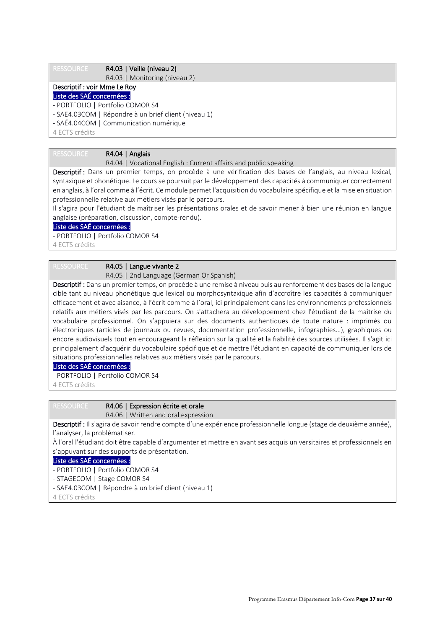RESSOURCE R4.03 | Veille (niveau 2)

R4.03 | Monitoring (niveau 2)

### Descriptif : voir Mme Le Roy Liste des SAÉ concernées :

- PORTFOLIO | Portfolio COMOR S4
- SAE4.03COM | Répondre à un brief client (niveau 1)
- SAÉ4.04COM | Communication numérique

4 ECTS crédits

# RESSOURCE R4.04 | Anglais

### R4.04 | Vocational English : Current affairs and public speaking

Descriptif : Dans un premier temps, on procède à une vérification des bases de l'anglais, au niveau lexical, syntaxique et phonétique. Le cours se poursuit par le développement des capacités à communiquer correctement en anglais, à l'oral comme à l'écrit. Ce module permet l'acquisition du vocabulaire spécifique et la mise en situation professionnelle relative aux métiers visés par le parcours.

Il s'agira pour l'étudiant de maîtriser les présentations orales et de savoir mener à bien une réunion en langue anglaise (préparation, discussion, compte-rendu).

# Liste des SAÉ concernées :

- PORTFOLIO | Portfolio COMOR S4

4 ECTS crédits

### RESSOURCE R4.05 | Langue vivante 2

R4.05 | 2nd Language (German Or Spanish)

Descriptif : Dans un premier temps, on procède à une remise à niveau puis au renforcement des bases de la langue cible tant au niveau phonétique que lexical ou morphosyntaxique afin d'accroître les capacités à communiquer efficacement et avec aisance, à l'écrit comme à l'oral, ici principalement dans les environnements professionnels relatifs aux métiers visés par les parcours. On s'attachera au développement chez l'étudiant de la maîtrise du vocabulaire professionnel. On s'appuiera sur des documents authentiques de toute nature : imprimés ou électroniques (articles de journaux ou revues, documentation professionnelle, infographies…), graphiques ou encore audiovisuels tout en encourageant la réflexion sur la qualité et la fiabilité des sources utilisées. Il s'agit ici principalement d'acquérir du vocabulaire spécifique et de mettre l'étudiant en capacité de communiquer lors de situations professionnelles relatives aux métiers visés par le parcours.

#### Liste des SAÉ concernées :

- PORTFOLIO | Portfolio COMOR S4

4 ECTS crédits

# RESSOURCE R4.06 | Expression écrite et orale

#### R4.06 | Written and oral expression

Descriptif : Il s'agira de savoir rendre compte d'une expérience professionnelle longue (stage de deuxième année), l'analyser, la problématiser.

À l'oral l'étudiant doit être capable d'argumenter et mettre en avant ses acquis universitaires et professionnels en s'appuyant sur des supports de présentation.

### Liste des SAÉ concernées :

- PORTFOLIO | Portfolio COMOR S4

- STAGECOM | Stage COMOR S4

- SAE4.03COM | Répondre à un brief client (niveau 1)
- 4 ECTS crédits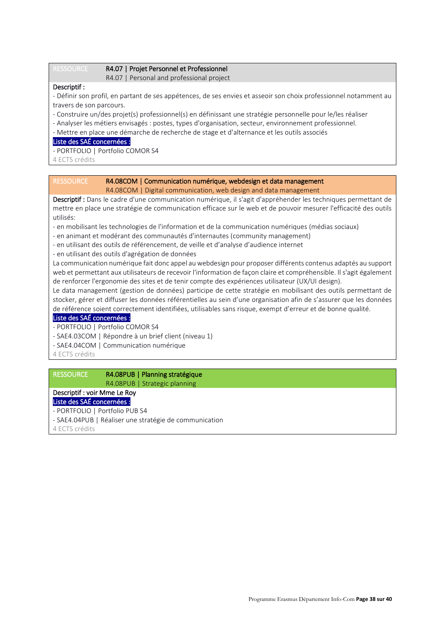#### RESSOURCE R4.07 | Projet Personnel et Professionnel

R4.07 | Personal and professional project

### Descriptif :

- Définir son profil, en partant de ses appétences, de ses envies et asseoir son choix professionnel notamment au travers de son parcours.
- Construire un/des projet(s) professionnel(s) en définissant une stratégie personnelle pour le/les réaliser
- Analyser les métiers envisagés : postes, types d'organisation, secteur, environnement professionnel.
- Mettre en place une démarche de recherche de stage et d'alternance et les outils associés

### Liste des SAÉ concernées :

- PORTFOLIO | Portfolio COMOR S4
- 4 ECTS crédits

### RESSOURCE R4.08COM | Communication numérique, webdesign et data management R4.08COM | Digital communication, web design and data management

Descriptif : Dans le cadre d'une communication numérique, il s'agit d'appréhender les techniques permettant de mettre en place une stratégie de communication efficace sur le web et de pouvoir mesurer l'efficacité des outils utilisés:

- en mobilisant les technologies de l'information et de la communication numériques (médias sociaux)
- en animant et modérant des communautés d'internautes (community management)
- en utilisant des outils de référencement, de veille et d'analyse d'audience internet
- en utilisant des outils d'agrégation de données

La communication numérique fait donc appel au webdesign pour proposer différents contenus adaptés au support web et permettant aux utilisateurs de recevoir l'information de façon claire et compréhensible. Il s'agit également de renforcer l'ergonomie des sites et de tenir compte des expériences utilisateur (UX/UI design).

Le data management (gestion de données) participe de cette stratégie en mobilisant des outils permettant de stocker, gérer et diffuser les données référentielles au sein d'une organisation afin de s'assurer que les données de référence soient correctement identifiées, utilisables sans risque, exempt d'erreur et de bonne qualité.

### Liste des SAÉ concernées :

- PORTFOLIO | Portfolio COMOR S4

- SAE4.03COM | Répondre à un brief client (niveau 1)
- SAE4.04COM | Communication numérique

4 ECTS crédits

# RESSOURCE R4.08PUB | Planning stratégique

R4.08PUB | Strategic planning

# Descriptif : voir Mme Le Roy

Liste des SAÉ concernées :

- PORTFOLIO | Portfolio PUB S4
- SAE4.04PUB | Réaliser une stratégie de communication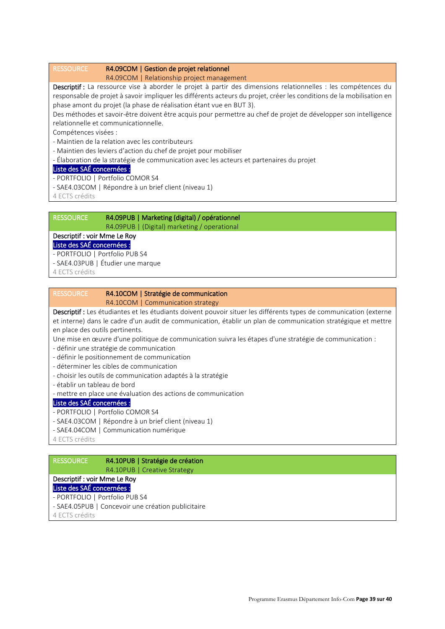### RESSOURCE R4.09COM | Gestion de projet relationnel

### R4.09COM | Relationship project management

Descriptif : La ressource vise à aborder le projet à partir des dimensions relationnelles : les compétences du responsable de projet à savoir impliquer les différents acteurs du projet, créer les conditions de la mobilisation en phase amont du projet (la phase de réalisation étant vue en BUT 3).

Des méthodes et savoir-être doivent être acquis pour permettre au chef de projet de développer son intelligence relationnelle et communicationnelle.

Compétences visées :

- Maintien de la relation avec les contributeurs
- Maintien des leviers d'action du chef de projet pour mobiliser
- Élaboration de la stratégie de communication avec les acteurs et partenaires du projet

### Liste des SAÉ concernées :

- PORTFOLIO | Portfolio COMOR S4
- SAE4.03COM | Répondre à un brief client (niveau 1)

4 ECTS crédits

# RESSOURCE R4.09PUB | Marketing (digital) / opérationnel

R4.09PUB | (Digital) marketing / operational

# Descriptif : voir Mme Le Roy

# Liste des SAÉ concernées :

- PORTFOLIO | Portfolio PUB S4
- SAE4.03PUB | Étudier une marque
- 4 ECTS crédits

# RESSOURCE R4.10COM | Stratégie de communication

R4.10COM | Communication strategy

Descriptif : Les étudiantes et les étudiants doivent pouvoir situer les différents types de communication (externe et interne) dans le cadre d'un audit de communication, établir un plan de communication stratégique et mettre en place des outils pertinents.

- Une mise en œuvre d'une politique de communication suivra les étapes d'une stratégie de communication :
- définir une stratégie de communication
- définir le positionnement de communication
- déterminer les cibles de communication
- choisir les outils de communication adaptés à la stratégie
- établir un tableau de bord
- mettre en place une évaluation des actions de communication

# Liste des SAÉ concernées :

- PORTFOLIO | Portfolio COMOR S4
- SAE4.03COM | Répondre à un brief client (niveau 1)
- SAE4.04COM | Communication numérique
- 4 ECTS crédits

# RESSOURCE R4.10PUB | Stratégie de création R4.10PUB | Creative Strategy Descriptif : voir Mme Le Roy Liste des SAÉ concernées : - PORTFOLIO | Portfolio PUB S4 - SAE4.05PUB | Concevoir une création publicitaire 4 ECTS crédits